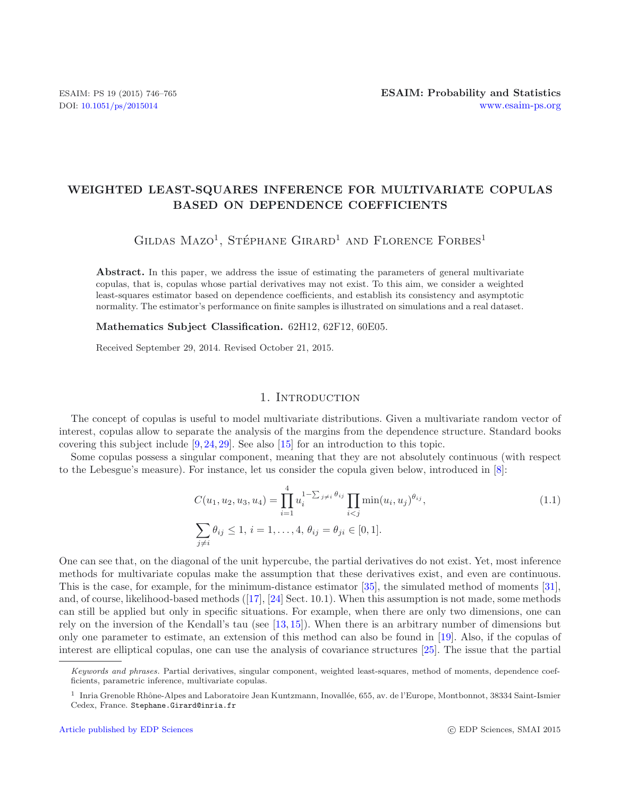# **WEIGHTED LEAST-SQUARES INFERENCE FOR MULTIVARIATE COPULAS BASED ON DEPENDENCE COEFFICIENTS**

GILDAS MAZO<sup>1</sup>, STÉPHANE GIRARD<sup>1</sup> AND FLORENCE FORBES<sup>1</sup>

Abstract. In this paper, we address the issue of estimating the parameters of general multivariate copulas, that is, copulas whose partial derivatives may not exist. To this aim, we consider a weighted least-squares estimator based on dependence coefficients, and establish its consistency and asymptotic normality. The estimator's performance on finite samples is illustrated on simulations and a real dataset.

**Mathematics Subject Classification.** 62H12, 62F12, 60E05.

Received September 29, 2014. Revised October 21, 2015.

## 1. INTRODUCTION

The concept of copulas is useful to model multivariate distributions. Given a multivariate random vector of interest, copulas allow to separate the analysis of the margins from the dependence structure. Standard books covering this subject include [\[9,](#page-18-0) [24,](#page-19-0) [29](#page-19-1)]. See also [\[15](#page-18-1)] for an introduction to this topic.

Some copulas possess a singular component, meaning that they are not absolutely continuous (with respect to the Lebesgue's measure). For instance, let us consider the copula given below, introduced in [\[8\]](#page-18-2):

$$
C(u_1, u_2, u_3, u_4) = \prod_{i=1}^{4} u_i^{1 - \sum_{j \neq i} \theta_{ij}} \prod_{i < j} \min(u_i, u_j)^{\theta_{ij}},
$$
\n
$$
\sum_{j \neq i} \theta_{ij} \leq 1, \ i = 1, \dots, 4, \ \theta_{ij} = \theta_{ji} \in [0, 1].
$$
\n
$$
(1.1)
$$

One can see that, on the diagonal of the unit hypercube, the partial derivatives do not exist. Yet, most inference methods for multivariate copulas make the assumption that these derivatives exist, and even are continuous. This is the case, for example, for the minimum-distance estimator [\[35\]](#page-19-2), the simulated method of moments [\[31](#page-19-3)], and, of course, likelihood-based methods ([\[17\]](#page-18-3), [\[24\]](#page-19-0) Sect. 10.1). When this assumption is not made, some methods can still be applied but only in specific situations. For example, when there are only two dimensions, one can rely on the inversion of the Kendall's tau (see [\[13,](#page-18-4) [15\]](#page-18-1)). When there is an arbitrary number of dimensions but only one parameter to estimate, an extension of this method can also be found in [\[19](#page-18-5)]. Also, if the copulas of interest are elliptical copulas, one can use the analysis of covariance structures [\[25](#page-19-4)]. The issue that the partial

*Keywords and phrases.* Partial derivatives, singular component, weighted least-squares, method of moments, dependence coefficients, parametric inference, multivariate copulas.

<sup>&</sup>lt;sup>1</sup> Inria Grenoble Rhône-Alpes and Laboratoire Jean Kuntzmann, Inovallée, 655, av. de l'Europe, Montbonnot, 38334 Saint-Ismier Cedex, France. Stephane.Girard@inria.fr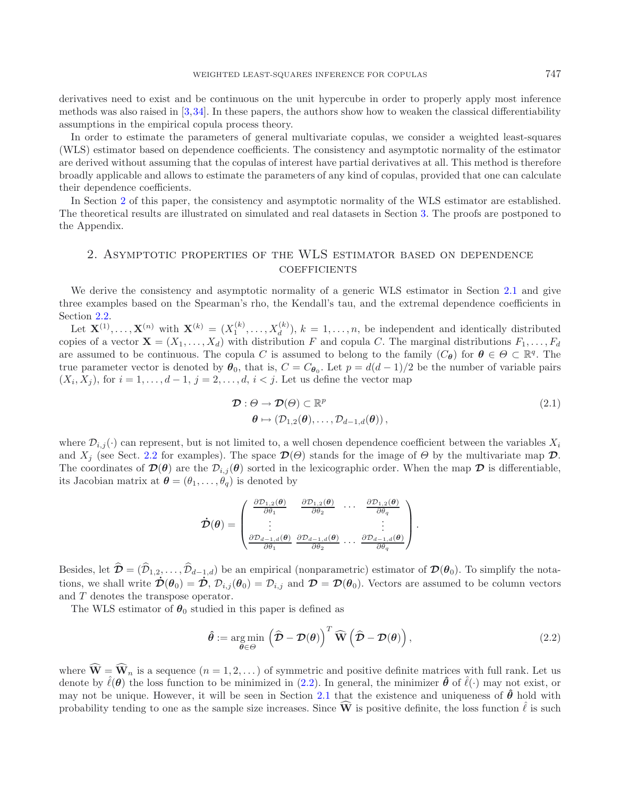derivatives need to exist and be continuous on the unit hypercube in order to properly apply most inference methods was also raised in [\[3,](#page-18-6)[34\]](#page-19-5). In these papers, the authors show how to weaken the classical differentiability assumptions in the empirical copula process theory.

In order to estimate the parameters of general multivariate copulas, we consider a weighted least-squares (WLS) estimator based on dependence coefficients. The consistency and asymptotic normality of the estimator are derived without assuming that the copulas of interest have partial derivatives at all. This method is therefore broadly applicable and allows to estimate the parameters of any kind of copulas, provided that one can calculate their dependence coefficients.

<span id="page-1-0"></span>In Section [2](#page-1-0) of this paper, the consistency and asymptotic normality of the WLS estimator are established. The theoretical results are illustrated on simulated and real datasets in Section [3.](#page-6-0) The proofs are postponed to the Appendix.

# 2. Asymptotic properties of the WLS estimator based on dependence **COEFFICIENTS**

We derive the consistency and asymptotic normality of a generic WLS estimator in Section [2.1](#page-2-0) and give three examples based on the Spearman's rho, the Kendall's tau, and the extremal dependence coefficients in Section [2.2.](#page-4-0)

Let  $\mathbf{X}^{(1)},\ldots,\mathbf{X}^{(n)}$  with  $\mathbf{X}^{(k)}=(X_1^{(k)},\ldots,X_d^{(k)}), k=1,\ldots,n$ , be independent and identically distributed copies of a vector  $\mathbf{X} = (X_1, \ldots, X_d)$  with distribution F and copula C. The marginal distributions  $F_1, \ldots, F_d$ are assumed to be continuous. The copula C is assumed to belong to the family  $(C_{\theta})$  for  $\theta \in \Theta \subset \mathbb{R}^{q}$ . The true parameter vector is denoted by  $\theta_0$ , that is,  $C = C_{\theta_0}$ . Let  $p = d(d-1)/2$  be the number of variable pairs  $(X_i, X_j)$ , for  $i = 1, \ldots, d - 1$ ,  $j = 2, \ldots, d$ ,  $i < j$ . Let us define the vector map

<span id="page-1-2"></span><span id="page-1-1"></span>
$$
\mathcal{D}: \Theta \to \mathcal{D}(\Theta) \subset \mathbb{R}^p
$$
  
\n
$$
\theta \mapsto (\mathcal{D}_{1,2}(\theta), \dots, \mathcal{D}_{d-1,d}(\theta)),
$$
\n(2.1)

where  $\mathcal{D}_{i,j}(\cdot)$  can represent, but is not limited to, a well chosen dependence coefficient between the variables  $X_i$ and  $X_i$  (see Sect. [2.2](#page-4-0) for examples). The space  $\mathcal{D}(\Theta)$  stands for the image of  $\Theta$  by the multivariate map  $\mathcal{D}$ . The coordinates of  $\mathcal{D}(\theta)$  are the  $\mathcal{D}_{i,j}(\theta)$  sorted in the lexicographic order. When the map  $\mathcal D$  is differentiable, its Jacobian matrix at  $\boldsymbol{\theta} = (\theta_1, \ldots, \theta_q)$  is denoted by

$$
\dot{\mathcal{D}}(\theta) = \begin{pmatrix} \frac{\partial \mathcal{D}_{1,2}(\theta)}{\partial \theta_1} & \frac{\partial \mathcal{D}_{1,2}(\theta)}{\partial \theta_2} & \cdots & \frac{\partial \mathcal{D}_{1,2}(\theta)}{\partial \theta_q} \\ \vdots & \vdots & & \vdots \\ \frac{\partial \mathcal{D}_{d-1,d}(\theta)}{\partial \theta_1} & \frac{\partial \mathcal{D}_{d-1,d}(\theta)}{\partial \theta_2} & \cdots & \frac{\partial \mathcal{D}_{d-1,d}(\theta)}{\partial \theta_q} \end{pmatrix}.
$$

Besides, let  $\hat{\mathcal{D}} = (\hat{\mathcal{D}}_{1,2}, \dots, \hat{\mathcal{D}}_{d-1,d})$  be an empirical (nonparametric) estimator of  $\mathcal{D}(\theta_0)$ . To simplify the notations, we shall write  $\dot{\mathcal{D}}(\theta_0) = \dot{\mathcal{D}}$ ,  $\mathcal{D}_{i,j}(\theta_0) = \mathcal{D}_{i,j}$  and  $\mathcal{D} = \mathcal{D}(\theta_0)$ . Vectors are assumed to be column vectors and T denotes the transpose operator.

The WLS estimator of  $\theta_0$  studied in this paper is defined as

$$
\hat{\boldsymbol{\theta}} := \underset{\boldsymbol{\theta} \in \Theta}{\arg \min} \left( \hat{\mathcal{D}} - \mathcal{D}(\boldsymbol{\theta}) \right)^T \widehat{\mathbf{W}} \left( \widehat{\mathcal{D}} - \mathcal{D}(\boldsymbol{\theta}) \right), \tag{2.2}
$$

where  $\widehat{\mathbf{W}} = \widehat{\mathbf{W}}_n$  is a sequence  $(n = 1, 2, ...)$  of symmetric and positive definite matrices with full rank. Let us denote by  $\hat{\ell}(\theta)$  the loss function to be minimized in [\(2.2\)](#page-1-1). In general, the minimizer  $\hat{\theta}$  of  $\hat{\ell}(\cdot)$  may not exist, or may not be unique. However, it will be seen in Section [2.1](#page-2-0) that the existence and uniqueness of  $\hat{\theta}$  hold with probability tending to one as the sample size increases. Since  $\vec{W}$  is positive definite, the loss function  $\hat{\ell}$  is such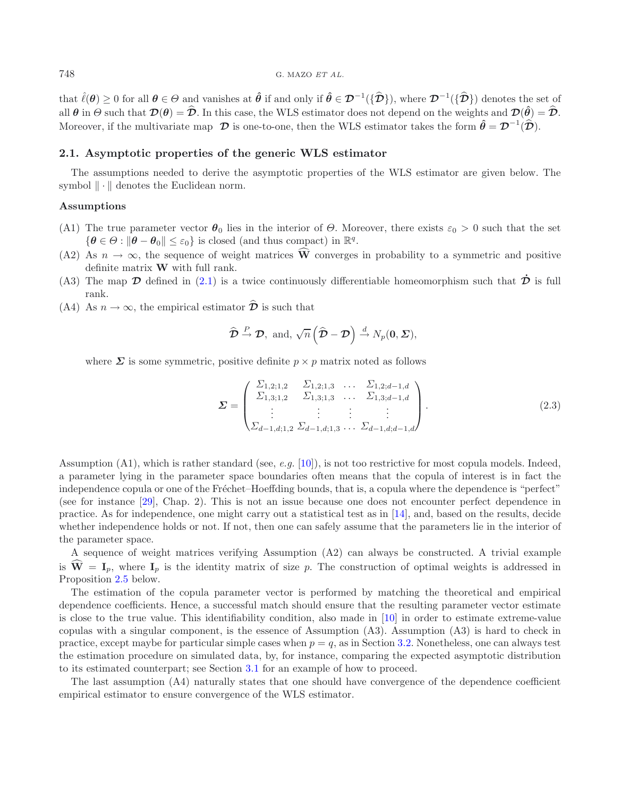that  $\hat{\ell}(\theta) \ge 0$  for all  $\theta \in \Theta$  and vanishes at  $\hat{\theta}$  if and only if  $\hat{\theta} \in \mathcal{D}^{-1}(\{\hat{\mathcal{D}}\})$ , where  $\mathcal{D}^{-1}(\{\hat{\mathcal{D}}\})$  denotes the set of all  $\theta$  in  $\Theta$  such that  $\mathcal{D}(\theta) = \hat{\mathcal{D}}$ . In this case, the WLS estimator does not depend on the weights and  $\mathcal{D}(\hat{\theta}) = \hat{\mathcal{D}}$ . Moreover, if the multivariate map  $\mathcal{D}$  is one-to-one, then the WLS estimator takes the form  $\hat{\theta} = \mathcal{D}^{-1}(\hat{\mathcal{D}})$ .

#### <span id="page-2-0"></span>**2.1. Asymptotic properties of the generic WLS estimator**

The assumptions needed to derive the asymptotic properties of the WLS estimator are given below. The symbol  $\|\cdot\|$  denotes the Euclidean norm.

#### **Assumptions**

- (A1) The true parameter vector  $\theta_0$  lies in the interior of  $\Theta$ . Moreover, there exists  $\varepsilon_0 > 0$  such that the set  $\{\boldsymbol{\theta} \in \Theta : ||\boldsymbol{\theta} - \boldsymbol{\theta}_0|| \leq \varepsilon_0\}$  is closed (and thus compact) in  $\mathbb{R}^q$ .
- (A2) As  $n \to \infty$ , the sequence of weight matrices  $\widehat{W}$  converges in probability to a symmetric and positive definite matrix **W** with full rank.
- (A3) The map  $\mathcal D$  defined in [\(2.1\)](#page-1-2) is a twice continuously differentiable homeomorphism such that  $\dot{\mathcal D}$  is full rank.
- (A4) As  $n \to \infty$ , the empirical estimator  $\hat{\mathcal{D}}$  is such that

$$
\widehat{\mathcal{D}} \stackrel{P}{\rightarrow} \mathcal{D}, \text{ and, } \sqrt{n} \left( \widehat{\mathcal{D}} - \mathcal{D} \right) \stackrel{d}{\rightarrow} N_p(\mathbf{0}, \Sigma),
$$

where  $\Sigma$  is some symmetric, positive definite  $p \times p$  matrix noted as follows

$$
\mathbf{\Sigma} = \begin{pmatrix} \Sigma_{1,2;1,2} & \Sigma_{1,2;1,3} & \dots & \Sigma_{1,2;d-1,d} \\ \Sigma_{1,3;1,2} & \Sigma_{1,3;1,3} & \dots & \Sigma_{1,3;d-1,d} \\ \vdots & \vdots & \vdots & \vdots \\ \Sigma_{d-1,d;1,2} & \Sigma_{d-1,d;1,3} & \dots & \Sigma_{d-1,d;d-1,d} \end{pmatrix} . \tag{2.3}
$$

Assumption (A1), which is rather standard (see, *e.g.* [\[10\]](#page-18-7)), is not too restrictive for most copula models. Indeed, a parameter lying in the parameter space boundaries often means that the copula of interest is in fact the independence copula or one of the Fréchet–Hoeffding bounds, that is, a copula where the dependence is "perfect" (see for instance [\[29\]](#page-19-1), Chap. 2). This is not an issue because one does not encounter perfect dependence in practice. As for independence, one might carry out a statistical test as in [\[14\]](#page-18-8), and, based on the results, decide whether independence holds or not. If not, then one can safely assume that the parameters lie in the interior of the parameter space.

A sequence of weight matrices verifying Assumption (A2) can always be constructed. A trivial example is  $\hat{\mathbf{W}} = \mathbf{I}_p$ , where  $\mathbf{I}_p$  is the identity matrix of size p. The construction of optimal weights is addressed in Proposition [2.5](#page-4-1) below.

The estimation of the copula parameter vector is performed by matching the theoretical and empirical dependence coefficients. Hence, a successful match should ensure that the resulting parameter vector estimate is close to the true value. This identifiability condition, also made in [\[10](#page-18-7)] in order to estimate extreme-value copulas with a singular component, is the essence of Assumption (A3). Assumption (A3) is hard to check in practice, except maybe for particular simple cases when  $p = q$ , as in Section [3.2.](#page-9-0) Nonetheless, one can always test the estimation procedure on simulated data, by, for instance, comparing the expected asymptotic distribution to its estimated counterpart; see Section [3.1](#page-6-1) for an example of how to proceed.

<span id="page-2-1"></span>The last assumption (A4) naturally states that one should have convergence of the dependence coefficient empirical estimator to ensure convergence of the WLS estimator.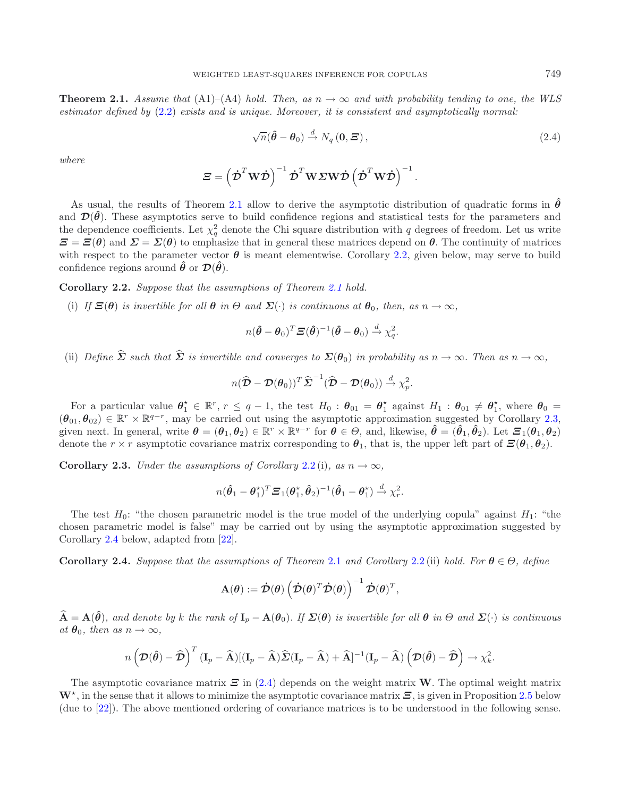**Theorem 2.1.** *Assume that* (A1)–(A4) *hold. Then, as*  $n \to \infty$  *and with probability tending to one, the WLS estimator defined by* [\(2.2\)](#page-1-1) *exists and is unique. Moreover, it is consistent and asymptotically normal:*

<span id="page-3-3"></span>
$$
\sqrt{n}(\hat{\boldsymbol{\theta}} - \boldsymbol{\theta}_0) \stackrel{d}{\rightarrow} N_q(\mathbf{0}, \boldsymbol{\Xi}), \qquad (2.4)
$$

*where*

<span id="page-3-0"></span>
$$
\mathbf{\Xi} = \left(\dot{\mathbf{\mathcal{D}}}^T \mathbf{W} \dot{\mathbf{\mathcal{D}}}\right)^{-1} \dot{\mathbf{\mathcal{D}}}^T \mathbf{W} \mathbf{\Sigma} \mathbf{W} \dot{\mathbf{\mathcal{D}}}\left(\dot{\mathbf{\mathcal{D}}}^T \mathbf{W} \dot{\mathbf{\mathcal{D}}}\right)^{-1}.
$$

As usual, the results of Theorem [2.1](#page-2-1) allow to derive the asymptotic distribution of quadratic forms in  $\hat{\theta}$ and  $\mathcal{D}(\hat{\theta})$ . These asymptotics serve to build confidence regions and statistical tests for the parameters and the dependence coefficients. Let  $\chi^2_q$  denote the Chi square distribution with q degrees of freedom. Let us write  $\mathbf{E} = \mathbf{E}(\theta)$  and  $\mathbf{\Sigma} = \mathbf{\Sigma}(\theta)$  to emphasize that in general these matrices depend on  $\theta$ . The continuity of matrices with respect to the parameter vector  $\theta$  is meant elementwise. Corollary [2.2,](#page-3-0) given below, may serve to build confidence regions around  $\hat{\theta}$  or  $\mathcal{D}(\hat{\theta})$ .

**Corollary 2.2.** *Suppose that the assumptions of Theorem [2.1](#page-2-1) hold.*

(i) *If*  $\Xi(\theta)$  *is invertible for all*  $\theta$  *in*  $\Theta$  *and*  $\Sigma(\cdot)$  *is continuous at*  $\theta_0$ *, then, as*  $n \to \infty$ *,* 

$$
n(\hat{\boldsymbol{\theta}} - \boldsymbol{\theta}_0)^T \boldsymbol{\Xi}(\hat{\boldsymbol{\theta}})^{-1} (\hat{\boldsymbol{\theta}} - \boldsymbol{\theta}_0) \stackrel{d}{\rightarrow} \chi_q^2.
$$

(ii) *Define*  $\hat{\Sigma}$  *such that*  $\hat{\Sigma}$  *is invertible and converges to*  $\Sigma(\theta_0)$  *in probability as*  $n \to \infty$ *. Then as*  $n \to \infty$ *,* 

$$
n(\widehat{\mathcal{D}}-\mathcal{D}(\boldsymbol{\theta}_0))^T\widehat{\boldsymbol{\Sigma}}^{-1}(\widehat{\boldsymbol{\mathcal{D}}}-\mathcal{D}(\boldsymbol{\theta}_0))\stackrel{d}{\rightarrow}\chi^2_p.
$$

For a particular value  $\theta_1^* \in \mathbb{R}^r$ ,  $r \leq q-1$ , the test  $H_0: \theta_{01} = \theta_1^*$  against  $H_1: \theta_{01} \neq \theta_1^*$ , where  $\theta_0 =$  $(\theta_{01}, \theta_{02}) \in \mathbb{R}^r \times \mathbb{R}^{q-r}$ , may be carried out using the asymptotic approximation suggested by Corollary [2.3,](#page-3-1) given next. In general, write  $\theta = (\theta_1, \theta_2) \in \mathbb{R}^r \times \mathbb{R}^{q-r}$  for  $\theta \in \Theta$ , and, likewise,  $\hat{\theta} = (\hat{\theta}_1, \hat{\theta}_2)$ . Let  $\Xi_1(\theta_1, \theta_2)$ denote the  $r \times r$  asymptotic covariance matrix corresponding to  $\theta_1$ , that is, the upper left part of  $\mathcal{Z}(\theta_1, \theta_2)$ .

<span id="page-3-1"></span>**Corollary 2.3.** *Under the assumptions of Corollary* [2.2](#page-3-0)(i)*, as*  $n \to \infty$ *,* 

$$
n(\hat{\theta}_1 - \theta_1^{\star})^T \boldsymbol{\Xi}_1(\theta_1^{\star}, \hat{\theta}_2)^{-1} (\hat{\theta}_1 - \theta_1^{\star}) \stackrel{d}{\rightarrow} \chi^2_r.
$$

The test  $H_0$ : "the chosen parametric model is the true model of the underlying copula" against  $H_1$ : "the chosen parametric model is false" may be carried out by using the asymptotic approximation suggested by Corollary [2.4](#page-3-2) below, adapted from [\[22](#page-19-6)].

<span id="page-3-2"></span>**Corollary 2.4.** *Suppose that the assumptions of Theorem* [2.1](#page-2-1) *and Corollary* [2.2](#page-3-0) (ii) *hold. For*  $\theta \in \Theta$ , *define* 

$$
\mathbf{A}(\boldsymbol{\theta}) := \dot{\mathcal{D}}(\boldsymbol{\theta}) \left( \dot{\mathcal{D}}(\boldsymbol{\theta})^T \dot{\mathcal{D}}(\boldsymbol{\theta}) \right)^{-1} \dot{\mathcal{D}}(\boldsymbol{\theta})^T,
$$

 $\hat{\mathbf{A}} = \mathbf{A}(\hat{\theta})$ , and denote by k the rank of  $\mathbf{I}_p - \mathbf{A}(\theta_0)$ . If  $\Sigma(\theta)$  is invertible for all  $\theta$  in  $\Theta$  and  $\Sigma(\cdot)$  is continuous  $at \theta_0$ *, then as*  $n \to \infty$ *,* 

$$
n\left(\mathcal{D}(\hat{\boldsymbol{\theta}})-\widehat{\mathcal{D}}\right)^T(\mathbf{I}_p-\widehat{\mathbf{A}})[(\mathbf{I}_p-\widehat{\mathbf{A}})\widehat{\mathbf{\Sigma}}(\mathbf{I}_p-\widehat{\mathbf{A}})+\widehat{\mathbf{A}}]^{-1}(\mathbf{I}_p-\widehat{\mathbf{A}})\left(\mathcal{D}(\hat{\boldsymbol{\theta}})-\widehat{\mathcal{D}}\right)\rightarrow \chi_k^2.
$$

The asymptotic covariance matrix *Ξ* in [\(2.4\)](#page-3-3) depends on the weight matrix **W**. The optimal weight matrix **W**, in the sense that it allows to minimize the asymptotic covariance matrix *Ξ*, is given in Proposition [2.5](#page-4-1) below (due to [\[22\]](#page-19-6)). The above mentioned ordering of covariance matrices is to be understood in the following sense.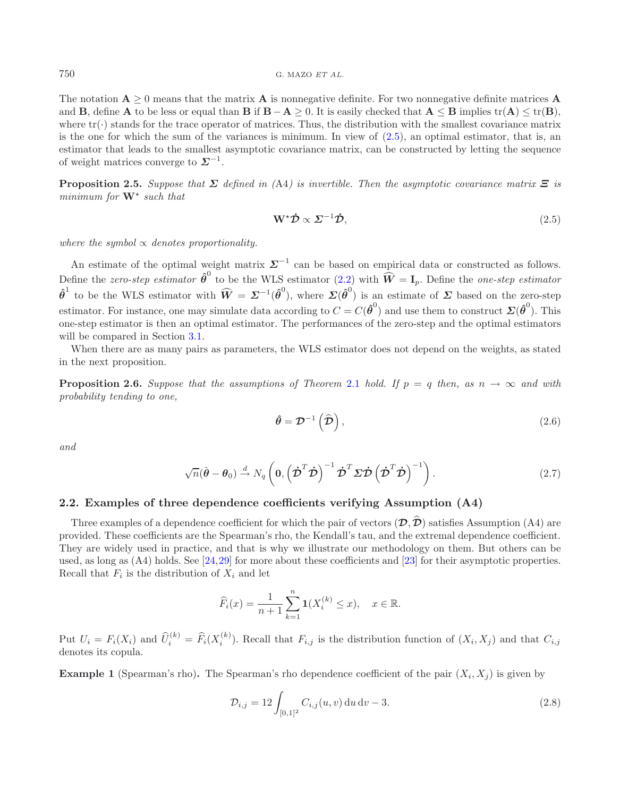The notation  $\mathbf{A} \geq 0$  means that the matrix  $\mathbf{A}$  is nonnegative definite. For two nonnegative definite matrices  $\mathbf{A}$ and **B**, define **A** to be less or equal than **B** if  $\mathbf{B} - \mathbf{A} > 0$ . It is easily checked that  $\mathbf{A} \leq \mathbf{B}$  implies tr( $\mathbf{A}$ )  $\leq$  tr( $\mathbf{B}$ ). where  $\text{tr}(\cdot)$  stands for the trace operator of matrices. Thus, the distribution with the smallest covariance matrix is the one for which the sum of the variances is minimum. In view of  $(2.5)$ , an optimal estimator, that is, an estimator that leads to the smallest asymptotic covariance matrix, can be constructed by letting the sequence of weight matrices converge to  $\Sigma^{-1}$ .

<span id="page-4-1"></span>**Proposition 2.5.** *Suppose that*  $\Sigma$  *defined in* (A4) *is invertible. Then the asymptotic covariance matrix*  $\Xi$  *is minimum for* **W** *such that*

<span id="page-4-6"></span><span id="page-4-4"></span><span id="page-4-2"></span>
$$
\mathbf{W}^{\star}\dot{\mathcal{D}} \propto \Sigma^{-1}\dot{\mathcal{D}},\tag{2.5}
$$

*where the symbol* ∝ *denotes proportionality.*

An estimate of the optimal weight matrix  $\Sigma^{-1}$  can be based on empirical data or constructed as follows. Define the *zero-step estimator*  $\hat{\boldsymbol{\theta}}^0$  to be the WLS estimator [\(2.2\)](#page-1-1) with  $\widehat{\boldsymbol{W}} = \mathbf{I}_p$ . Define the *one-step estimator*  $\hat{\theta}^1$  to be the WLS estimator with  $\widehat{W} = \Sigma^{-1}(\hat{\theta}^0)$ , where  $\Sigma(\hat{\theta}^0)$  is an estimate of  $\Sigma$  based on the zero-step estimator. For instance, one may simulate data according to  $C = C(\hat{\theta}^0)$  and use them to construct  $\Sigma(\hat{\theta}^0)$ . This one-step estimator is then an optimal estimator. The performances of the zero-step and the optimal estimators will be compared in Section [3.1.](#page-6-1)

<span id="page-4-5"></span>When there are as many pairs as parameters, the WLS estimator does not depend on the weights, as stated in the next proposition.

**Proposition 2.6.** *Suppose that the assumptions of Theorem* [2.1](#page-2-1) *hold.* If  $p = q$  *then, as*  $n \to \infty$  *and with probability tending to one,*

$$
\hat{\theta} = \mathcal{D}^{-1}(\hat{\mathcal{D}}),\tag{2.6}
$$

*and*

$$
\sqrt{n}(\hat{\boldsymbol{\theta}} - \boldsymbol{\theta}_0) \stackrel{d}{\rightarrow} N_q \left( \mathbf{0}, \left( \dot{\boldsymbol{\mathcal{D}}}^T \dot{\boldsymbol{\mathcal{D}}} \right)^{-1} \dot{\boldsymbol{\mathcal{D}}}^T \boldsymbol{\Sigma} \dot{\boldsymbol{\mathcal{D}}} \left( \dot{\boldsymbol{\mathcal{D}}}^T \dot{\boldsymbol{\mathcal{D}}} \right)^{-1} \right).
$$
 (2.7)

# <span id="page-4-0"></span>**2.2. Examples of three dependence coefficients verifying Assumption (A4)**

Three examples of a dependence coefficient for which the pair of vectors  $(\mathcal{D}, \mathcal{D})$  satisfies Assumption (A4) are provided. These coefficients are the Spearman's rho, the Kendall's tau, and the extremal dependence coefficient. They are widely used in practice, and that is why we illustrate our methodology on them. But others can be used, as long as (A4) holds. See [\[24](#page-19-0)[,29](#page-19-1)] for more about these coefficients and [\[23\]](#page-19-7) for their asymptotic properties. Recall that  $F_i$  is the distribution of  $X_i$  and let

$$
\widehat{F}_i(x) = \frac{1}{n+1} \sum_{k=1}^n \mathbf{1}(X_i^{(k)} \le x), \quad x \in \mathbb{R}.
$$

<span id="page-4-3"></span>Put  $U_i = F_i(X_i)$  and  $\widehat{U}_i^{(k)} = \widehat{F}_i(X_i^{(k)})$ . Recall that  $F_{i,j}$  is the distribution function of  $(X_i, X_j)$  and that  $C_{i,j}$ denotes its copula.

**Example 1** (Spearman's rho). The Spearman's rho dependence coefficient of the pair  $(X_i, X_j)$  is given by

$$
\mathcal{D}_{i,j} = 12 \int_{[0,1]^2} C_{i,j}(u,v) \, du \, dv - 3. \tag{2.8}
$$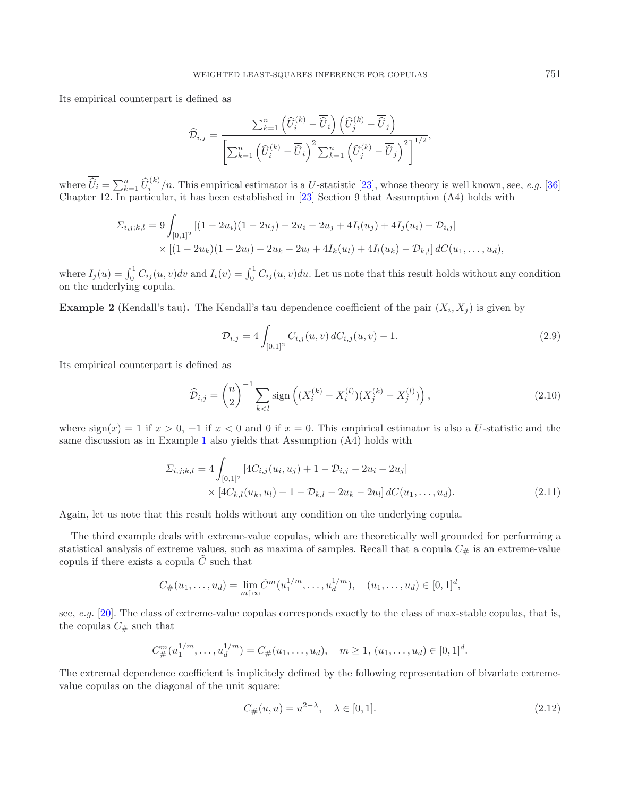Its empirical counterpart is defined as

$$
\widehat{\mathcal{D}}_{i,j} = \frac{\sum_{k=1}^{n} \left( \widehat{U}_{i}^{(k)} - \overline{\widehat{U}}_{i} \right) \left( \widehat{U}_{j}^{(k)} - \overline{\widehat{U}}_{j} \right)}{\left[ \sum_{k=1}^{n} \left( \widehat{U}_{i}^{(k)} - \overline{\widehat{U}}_{i} \right)^{2} \sum_{k=1}^{n} \left( \widehat{U}_{j}^{(k)} - \overline{\widehat{U}}_{j} \right)^{2} \right]^{1/2}},
$$

where  $\overline{\hat{U}_i} = \sum_{k=1}^n \hat{U}_i^{(k)}/n$ . This empirical estimator is a U-statistic [\[23](#page-19-7)], whose theory is well known, see, *e.g.* [\[36\]](#page-19-8) Chapter 12. In particular, it has been established in [\[23\]](#page-19-7) Section 9 that Assumption (A4) holds with

$$
\Sigma_{i,j;k,l} = 9 \int_{[0,1]^2} \left[ (1 - 2u_i)(1 - 2u_j) - 2u_i - 2u_j + 4I_i(u_j) + 4I_j(u_i) - \mathcal{D}_{i,j} \right] \times \left[ (1 - 2u_k)(1 - 2u_l) - 2u_k - 2u_l + 4I_k(u_l) + 4I_l(u_k) - \mathcal{D}_{k,l} \right] dC(u_1, \dots, u_d),
$$

where  $I_j(u) = \int_0^1 C_{ij}(u, v)dv$  and  $I_i(v) = \int_0^1 C_{ij}(u, v)du$ . Let us note that this result holds without any condition on the underlying copula.

<span id="page-5-1"></span>**Example 2** (Kendall's tau). The Kendall's tau dependence coefficient of the pair  $(X_i, X_j)$  is given by

<span id="page-5-3"></span><span id="page-5-2"></span>
$$
\mathcal{D}_{i,j} = 4 \int_{[0,1]^2} C_{i,j}(u,v) dC_{i,j}(u,v) - 1.
$$
\n(2.9)

Its empirical counterpart is defined as

$$
\widehat{\mathcal{D}}_{i,j} = \binom{n}{2}^{-1} \sum_{k < l} \text{sign}\left( (X_i^{(k)} - X_i^{(l)}) (X_j^{(k)} - X_j^{(l)}) \right),\tag{2.10}
$$

where  $sign(x) = 1$  if  $x > 0$ ,  $-1$  if  $x < 0$  and 0 if  $x = 0$ . This empirical estimator is also a U-statistic and the same discussion as in Example [1](#page-4-3) also yields that Assumption (A4) holds with

$$
\Sigma_{i,j;k,l} = 4 \int_{[0,1]^2} \left[ 4C_{i,j}(u_i, u_j) + 1 - \mathcal{D}_{i,j} - 2u_i - 2u_j \right] \times \left[ 4C_{k,l}(u_k, u_l) + 1 - \mathcal{D}_{k,l} - 2u_k - 2u_l \right] dC(u_1, \dots, u_d). \tag{2.11}
$$

Again, let us note that this result holds without any condition on the underlying copula.

The third example deals with extreme-value copulas, which are theoretically well grounded for performing a statistical analysis of extreme values, such as maxima of samples. Recall that a copula  $C_{\#}$  is an extreme-value copula if there exists a copula  $\tilde{C}$  such that

<span id="page-5-0"></span>
$$
C_{\#}(u_1,\ldots,u_d)=\lim_{m\uparrow\infty}\tilde{C}^m(u_1^{1/m},\ldots,u_d^{1/m}),\quad (u_1,\ldots,u_d)\in[0,1]^d,
$$

see, *e.g.* [\[20](#page-18-9)]. The class of extreme-value copulas corresponds exactly to the class of max-stable copulas, that is, the copulas  $C_{\#}$  such that

$$
C_{\#}^{m}(u_{1}^{1/m},...,u_{d}^{1/m})=C_{\#}(u_{1},...,u_{d}), \quad m \geq 1, (u_{1},...,u_{d}) \in [0,1]^{d}.
$$

The extremal dependence coefficient is implicitely defined by the following representation of bivariate extremevalue copulas on the diagonal of the unit square:

$$
C_{\#}(u, u) = u^{2-\lambda}, \quad \lambda \in [0, 1].
$$
\n(2.12)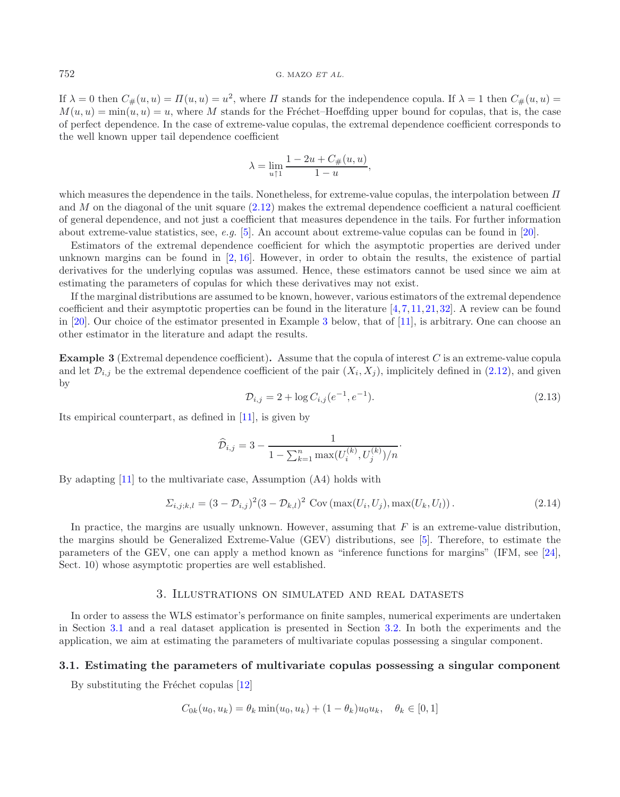#### 752 G. MAZO *ET AL.*

If  $\lambda = 0$  then  $C_{\#}(u, u) = \Pi(u, u) = u^2$ , where  $\Pi$  stands for the independence copula. If  $\lambda = 1$  then  $C_{\#}(u, u) =$  $M(u, u) = \min(u, u) = u$ , where M stands for the Fréchet–Hoeffding upper bound for copulas, that is, the case of perfect dependence. In the case of extreme-value copulas, the extremal dependence coefficient corresponds to the well known upper tail dependence coefficient

$$
\lambda = \lim_{u \uparrow 1} \frac{1 - 2u + C_{\#}(u, u)}{1 - u},
$$

which measures the dependence in the tails. Nonetheless, for extreme-value copulas, the interpolation between  $\Pi$ and M on the diagonal of the unit square  $(2.12)$  makes the extremal dependence coefficient a natural coefficient of general dependence, and not just a coefficient that measures dependence in the tails. For further information about extreme-value statistics, see, *e.g.* [\[5\]](#page-18-10). An account about extreme-value copulas can be found in [\[20](#page-18-9)].

Estimators of the extremal dependence coefficient for which the asymptotic properties are derived under unknown margins can be found in  $[2, 16]$  $[2, 16]$  $[2, 16]$ . However, in order to obtain the results, the existence of partial derivatives for the underlying copulas was assumed. Hence, these estimators cannot be used since we aim at estimating the parameters of copulas for which these derivatives may not exist.

If the marginal distributions are assumed to be known, however, various estimators of the extremal dependence coefficient and their asymptotic properties can be found in the literature  $[4,7,11,21,32]$  $[4,7,11,21,32]$  $[4,7,11,21,32]$  $[4,7,11,21,32]$  $[4,7,11,21,32]$  $[4,7,11,21,32]$ . A review can be found in [\[20](#page-18-9)]. Our choice of the estimator presented in Example [3](#page-6-2) below, that of [\[11\]](#page-18-15), is arbitrary. One can choose an other estimator in the literature and adapt the results.

<span id="page-6-2"></span>**Example 3** (Extremal dependence coefficient)**.** Assume that the copula of interest C is an extreme-value copula and let  $\mathcal{D}_{i,j}$  be the extremal dependence coefficient of the pair  $(X_i, X_j)$ , implicitely defined in [\(2.12\)](#page-5-0), and given by

$$
\mathcal{D}_{i,j} = 2 + \log C_{i,j} (e^{-1}, e^{-1}). \tag{2.13}
$$

Its empirical counterpart, as defined in [\[11](#page-18-15)], is given by

$$
\widehat{\mathcal{D}}_{i,j} = 3 - \frac{1}{1 - \sum_{k=1}^{n} \max(U_i^{(k)}, U_j^{(k)})/n}.
$$

By adapting [\[11\]](#page-18-15) to the multivariate case, Assumption (A4) holds with

$$
\Sigma_{i,j;k,l} = (3 - \mathcal{D}_{i,j})^2 (3 - \mathcal{D}_{k,l})^2 \text{ Cov}(\max(U_i, U_j), \max(U_k, U_l)).
$$
\n(2.14)

In practice, the margins are usually unknown. However, assuming that  $F$  is an extreme-value distribution, the margins should be Generalized Extreme-Value (GEV) distributions, see [\[5](#page-18-10)]. Therefore, to estimate the parameters of the GEV, one can apply a method known as "inference functions for margins" (IFM, see [\[24](#page-19-0)], Sect. 10) whose asymptotic properties are well established.

#### 3. Illustrations on simulated and real datasets

<span id="page-6-0"></span>In order to assess the WLS estimator's performance on finite samples, numerical experiments are undertaken in Section [3.1](#page-6-1) and a real dataset application is presented in Section [3.2.](#page-9-0) In both the experiments and the application, we aim at estimating the parameters of multivariate copulas possessing a singular component.

#### <span id="page-6-1"></span>**3.1. Estimating the parameters of multivariate copulas possessing a singular component**

By substituting the Fréchet copulas  $[12]$ 

$$
C_{0k}(u_0, u_k) = \theta_k \min(u_0, u_k) + (1 - \theta_k)u_0 u_k, \quad \theta_k \in [0, 1]
$$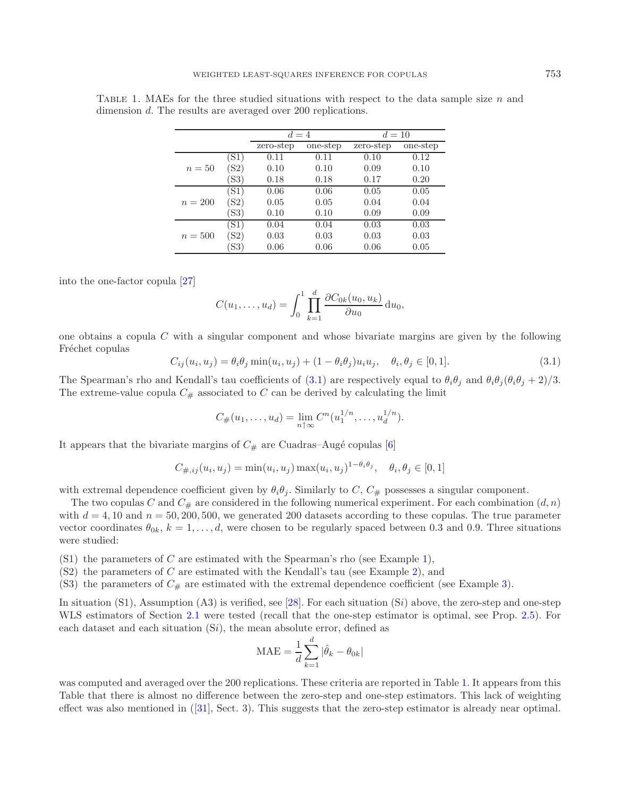|           |      | $d=4$     |          | $d=10$    |          |  |
|-----------|------|-----------|----------|-----------|----------|--|
|           |      | zero-step | one-step | zero-step | one-step |  |
|           | [S1] | 0.11      | 0.11     | 0.10      | 0.12     |  |
| $n=50$    | S2)  | 0.10      | 0.10     | 0.09      | 0.10     |  |
|           | SS3  | 0.18      | 0.18     | 0.17      | 0.20     |  |
|           | 'S1) | 0.06      | 0.06     | 0.05      | 0.05     |  |
| $n = 200$ | (S2) | 0.05      | 0.05     | 0.04      | 0.04     |  |
|           | (S3) | 0.10      | 0.10     | 0.09      | 0.09     |  |
|           | (S1) | 0.04      | 0.04     | 0.03      | 0.03     |  |
| $n = 500$ | (S2) | 0.03      | 0.03     | 0.03      | 0.03     |  |
|           | S3   | 0.06      | 0.06     | 0.06      | 0.05     |  |

<span id="page-7-1"></span>TABLE 1. MAEs for the three studied situations with respect to the data sample size  $n$  and dimension d. The results are averaged over 200 replications.

<span id="page-7-0"></span>into the one-factor copula [\[27](#page-19-11)]

$$
C(u_1,\ldots,u_d)=\int_0^1\prod_{k=1}^d\frac{\partial C_{0k}(u_0,u_k)}{\partial u_0}\,\mathrm{d}u_0,
$$

one obtains a copula C with a singular component and whose bivariate margins are given by the following Fréchet copulas

$$
C_{ij}(u_i, u_j) = \theta_i \theta_j \min(u_i, u_j) + (1 - \theta_i \theta_j) u_i u_j, \quad \theta_i, \theta_j \in [0, 1].
$$
\n(3.1)

The Spearman's rho and Kendall's tau coefficients of [\(3.1\)](#page-7-0) are respectively equal to  $\theta_i\theta_j$  and  $\theta_i\theta_j(\theta_i\theta_j + 2)/3$ . The extreme-value copula  $C_{\#}$  associated to C can be derived by calculating the limit

$$
C_{\#}(u_1,\ldots,u_d) = \lim_{n \uparrow \infty} C^n(u_1^{1/n},\ldots,u_d^{1/n}).
$$

It appears that the bivariate margins of  $C_{\#}$  are Cuadras–Augé copulas [\[6\]](#page-18-17)

$$
C_{\#,ij}(u_i, u_j) = \min(u_i, u_j) \max(u_i, u_j)^{1 - \theta_i \theta_j}, \quad \theta_i, \theta_j \in [0, 1]
$$

with extremal dependence coefficient given by  $\theta_i \theta_j$ . Similarly to C,  $C_{\#}$  possesses a singular component.

The two copulas C and  $C_{\#}$  are considered in the following numerical experiment. For each combination  $(d, n)$ with  $d = 4, 10$  and  $n = 50, 200, 500$ , we generated 200 datasets according to these copulas. The true parameter vector coordinates  $\theta_{0k}$ ,  $k = 1, \ldots, d$ , were chosen to be regularly spaced between 0.3 and 0.9. Three situations were studied:

- <span id="page-7-3"></span><span id="page-7-2"></span> $(S1)$  $(S1)$  the parameters of C are estimated with the Spearman's rho (see Example 1),
- <span id="page-7-4"></span> $(S2)$  $(S2)$  the parameters of C are estimated with the Kendall's tau (see Example 2), and
- (S[3\)](#page-6-2) the parameters of  $C_{\#}$  are estimated with the extremal dependence coefficient (see Example 3).

In situation (S1), Assumption (A3) is verified, see [\[28\]](#page-19-12). For each situation (Si) above, the zero-step and one-step WLS estimators of Section [2.1](#page-2-0) were tested (recall that the one-step estimator is optimal, see Prop. [2.5\)](#page-4-1). For each dataset and each situation  $(S_i)$ , the mean absolute error, defined as

$$
\text{MAE} = \frac{1}{d} \sum_{k=1}^{d} |\hat{\theta}_k - \theta_{0k}|
$$

was computed and averaged over the 200 replications. These criteria are reported in Table [1.](#page-7-1) It appears from this Table that there is almost no difference between the zero-step and one-step estimators. This lack of weighting effect was also mentioned in ([\[31](#page-19-3)], Sect. 3). This suggests that the zero-step estimator is already near optimal.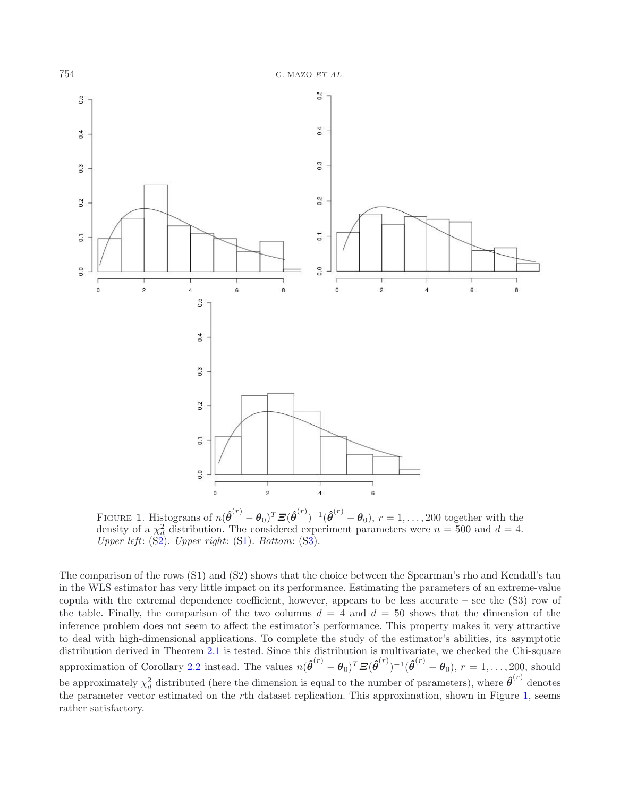

<span id="page-8-0"></span>FIGURE 1. Histograms of  $n(\hat{\boldsymbol{\theta}}^{(r)} - \boldsymbol{\theta}_0)^T \boldsymbol{\Xi}(\hat{\boldsymbol{\theta}}^{(r)})^{-1}(\hat{\boldsymbol{\theta}}^{(r)} - \boldsymbol{\theta}_0), r = 1, ..., 200$  together with the density of a  $\chi_d^2$  distribution. The considered experiment parameters were  $n = 500$  and  $d = 4$ . *Upper left*: ([S2\)](#page-7-2). *Upper right*: ([S1\)](#page-7-3). *Bottom*: ([S3\)](#page-7-4).

The comparison of the rows (S1) and (S2) shows that the choice between the Spearman's rho and Kendall's tau in the WLS estimator has very little impact on its performance. Estimating the parameters of an extreme-value copula with the extremal dependence coefficient, however, appears to be less accurate – see the (S3) row of the table. Finally, the comparison of the two columns  $d = 4$  and  $d = 50$  shows that the dimension of the inference problem does not seem to affect the estimator's performance. This property makes it very attractive to deal with high-dimensional applications. To complete the study of the estimator's abilities, its asymptotic distribution derived in Theorem [2.1](#page-2-1) is tested. Since this distribution is multivariate, we checked the Chi-square approximation of Corollary [2.2](#page-3-0) instead. The values  $n(\hat{\theta}^{(r)} - \theta_0)^T \mathbf{\Xi}(\hat{\theta}^{(r)})^{-1}(\hat{\theta}^{(r)} - \theta_0), r = 1, ..., 200$ , should be approximately  $\chi_d^2$  distributed (here the dimension is equal to the number of parameters), where  $\hat{\theta}^{(r)}$  denotes the parameter vector estimated on the rth dataset replication. This approximation, shown in Figure [1,](#page-8-0) seems rather satisfactory.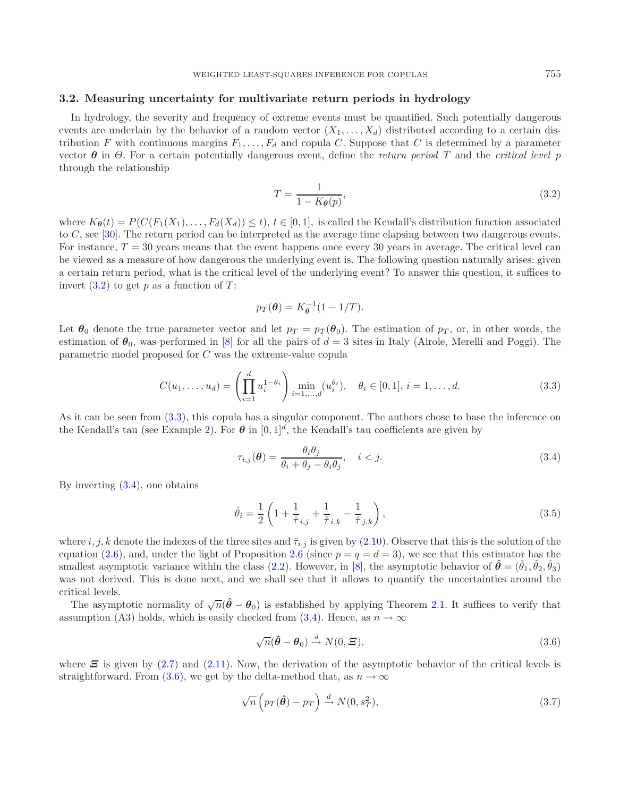# <span id="page-9-0"></span>**3.2. Measuring uncertainty for multivariate return periods in hydrology**

In hydrology, the severity and frequency of extreme events must be quantified. Such potentially dangerous events are underlain by the behavior of a random vector  $(X_1, \ldots, X_d)$  distributed according to a certain distribution F with continuous margins  $F_1, \ldots, F_d$  and copula C. Suppose that C is determined by a parameter vector  $\theta$  in  $\Theta$ . For a certain potentially dangerous event, define the *return period* T and the *critical level* p through the relationship

<span id="page-9-2"></span><span id="page-9-1"></span>
$$
T = \frac{1}{1 - K_{\theta}(p)},\tag{3.2}
$$

where  $K_{\theta}(t) = P(C(F_1(X_1),...,F_d(X_d)) \leq t), t \in [0,1],$  is called the Kendall's distribution function associated to  $C$ , see [\[30\]](#page-19-13). The return period can be interpreted as the average time elapsing between two dangerous events. For instance,  $T = 30$  years means that the event happens once every 30 years in average. The critical level can be viewed as a measure of how dangerous the underlying event is. The following question naturally arises: given a certain return period, what is the critical level of the underlying event? To answer this question, it suffices to invert  $(3.2)$  to get p as a function of T:

<span id="page-9-6"></span><span id="page-9-3"></span>
$$
p_T(\boldsymbol{\theta}) = K_{\boldsymbol{\theta}}^{-1}(1 - 1/T).
$$

Let  $\theta_0$  denote the true parameter vector and let  $p_T = p_T(\theta_0)$ . The estimation of  $p_T$ , or, in other words, the estimation of  $\theta_0$ , was performed in [\[8](#page-18-2)] for all the pairs of  $d = 3$  sites in Italy (Airole, Merelli and Poggi). The parametric model proposed for C was the extreme-value copula

$$
C(u_1, \dots, u_d) = \left(\prod_{i=1}^d u_i^{1-\theta_i}\right) \min_{i=1,\dots,d} (u_i^{\theta_i}), \quad \theta_i \in [0,1], i = 1,\dots,d.
$$
 (3.3)

As it can be seen from [\(3.3\)](#page-9-2), this copula has a singular component. The authors chose to base the inference on the Kendall's tau (see Example [2\)](#page-5-1). For  $\theta$  in  $[0,1]^d$ , the Kendall's tau coefficients are given by

<span id="page-9-4"></span>
$$
\tau_{i,j}(\boldsymbol{\theta}) = \frac{\theta_i \theta_j}{\theta_i + \theta_j - \theta_i \theta_j}, \quad i < j. \tag{3.4}
$$

By inverting [\(3.4\)](#page-9-3), one obtains

$$
\hat{\theta}_{i} = \frac{1}{2} \left( 1 + \frac{1}{\hat{\tau}}_{i,j} + \frac{1}{\hat{\tau}}_{i,k} - \frac{1}{\hat{\tau}}_{j,k} \right),
$$
\n(3.5)

where i, j, k denote the indexes of the three sites and  $\hat{\tau}_{i,j}$  is given by [\(2.10\)](#page-5-2). Observe that this is the solution of the equation [\(2.6\)](#page-4-4), and, under the light of Proposition [2.6](#page-4-5) (since  $p = q = d = 3$ ), we see that this estimator has the smallest asymptotic variance within the class [\(2.2\)](#page-1-1). However, in [\[8\]](#page-18-2), the asymptotic behavior of  $\hat{\theta} = (\hat{\theta}_1, \hat{\theta}_2, \hat{\theta}_3)$ was not derived. This is done next, and we shall see that it allows to quantify the uncertainties around the critical levels.

The asymptotic normality of  $\sqrt{n}(\hat{\theta} - \theta_0)$  is established by applying Theorem [2.1.](#page-2-1) It suffices to verify that assumption (A3) holds, which is easily checked from [\(3.4\)](#page-9-3). Hence, as  $n \to \infty$ 

<span id="page-9-5"></span>
$$
\sqrt{n}(\hat{\boldsymbol{\theta}} - \boldsymbol{\theta}_0) \stackrel{d}{\rightarrow} N(0, \boldsymbol{\Xi}), \tag{3.6}
$$

where  $\Xi$  is given by [\(2.7\)](#page-4-6) and [\(2.11\)](#page-5-3). Now, the derivation of the asymptotic behavior of the critical levels is straightforward. From [\(3.6\)](#page-9-4), we get by the delta-method that, as  $n \to \infty$ 

$$
\sqrt{n}\left(p_T(\hat{\theta}) - p_T\right) \stackrel{d}{\to} N(0, s_T^2),\tag{3.7}
$$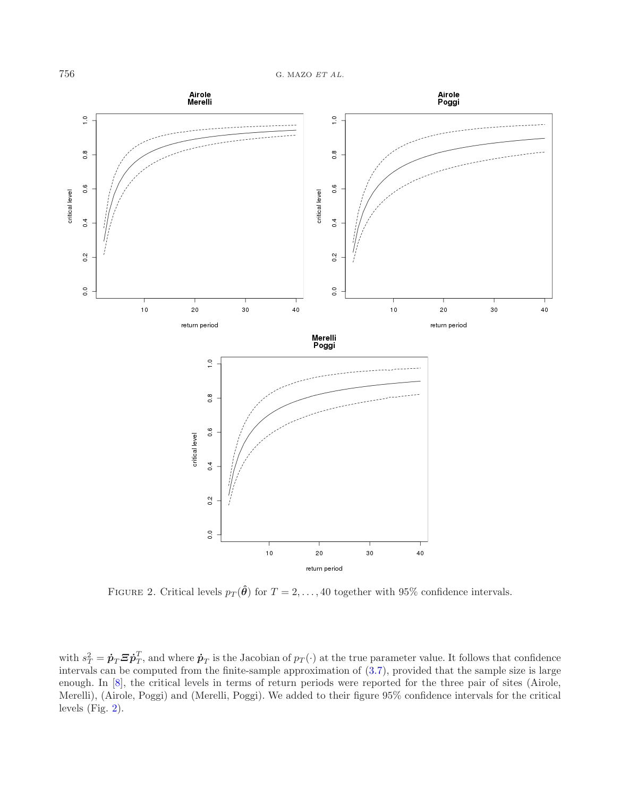

<span id="page-10-0"></span>FIGURE 2. Critical levels  $p_T(\hat{\theta})$  for  $T = 2, ..., 40$  together with 95% confidence intervals.

with  $s_T^2 = \dot{\mathbf{p}}_T \boldsymbol{\Xi} \dot{\mathbf{p}}_T^T$ , and where  $\dot{\mathbf{p}}_T$  is the Jacobian of  $p_T(\cdot)$  at the true parameter value. It follows that confidence intervals can be computed from the finite-sample approximation of [\(3.7\)](#page-9-5), provided that the sample size is large enough. In [\[8\]](#page-18-2), the critical levels in terms of return periods were reported for the three pair of sites (Airole, Merelli), (Airole, Poggi) and (Merelli, Poggi). We added to their figure 95% confidence intervals for the critical levels (Fig. [2\)](#page-10-0).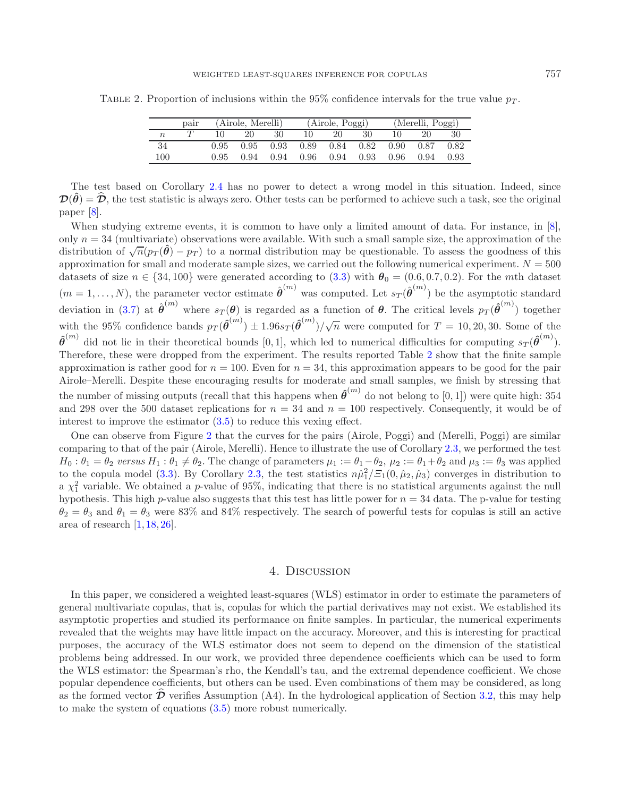|                  | pair | (Airole, Merelli) |                   |      | (Airole, Poggi)             |      |      | (Merelli, Poggi) |      |      |
|------------------|------|-------------------|-------------------|------|-----------------------------|------|------|------------------|------|------|
| $\boldsymbol{n}$ |      |                   | 20                | 30   | 10                          | 20   | 30   | 10               | 20   | 30   |
| 34               |      |                   | $0.95 \quad 0.95$ | 0.93 | $0.89$ $0.84$ $0.82$ $0.90$ |      |      |                  | 0.87 | 0.82 |
| 100              |      | 0.95              | 0.94              | 0.94 | $0.96 -$                    | 0.94 | 0.93 | 0.96             | 0.94 | 0.93 |

<span id="page-11-0"></span>TABLE 2. Proportion of inclusions within the 95% confidence intervals for the true value  $p_T$ .

The test based on Corollary [2.4](#page-3-2) has no power to detect a wrong model in this situation. Indeed, since  $\mathcal{D}(\hat{\theta}) = \hat{\mathcal{D}}$ , the test statistic is always zero. Other tests can be performed to achieve such a task, see the original paper [\[8\]](#page-18-2).

When studying extreme events, it is common to have only a limited amount of data. For instance, in [\[8](#page-18-2)], only  $n = 34$  (multivariate) observations were available. With such a small sample size, the approximation of the distribution of  $\sqrt{n}(p_T(\hat{\theta}) - p_T)$  to a normal distribution may be questionable. To assess the goodness of this approximation for small and moderate sample sizes, we carried out the following numerical experiment.  $N = 500$ datasets of size  $n \in \{34, 100\}$  were generated according to [\(3.3\)](#page-9-2) with  $\theta_0 = (0.6, 0.7, 0.2)$ . For the mth dataset  $(m = 1, \ldots, N)$ , the parameter vector estimate  $\hat{\boldsymbol{\theta}}^{(m)}$  was computed. Let  $s_T(\hat{\boldsymbol{\theta}}^{(m)})$  be the asymptotic standard deviation in [\(3.7\)](#page-9-5) at  $\hat{\boldsymbol{\theta}}^{(m)}$  where  $s_T(\boldsymbol{\theta})$  is regarded as a function of  $\boldsymbol{\theta}$ . The critical levels  $p_T(\hat{\boldsymbol{\theta}}^{(m)})$  together with the 95% confidence bands  $p_T(\hat{\theta}^{(m)}) \pm 1.96s_T(\hat{\theta}^{(m)})/\sqrt{n}$  were computed for  $T = 10, 20, 30$ . Some of the  $\hat{\theta}^{(m)}$  did not lie in their theoretical bounds [0, 1], which led to numerical difficulties for computing  $s_T(\hat{\theta}^{(m)})$ . Therefore, these were dropped from the experiment. The results reported Table [2](#page-11-0) show that the finite sample approximation is rather good for  $n = 100$ . Even for  $n = 34$ , this approximation appears to be good for the pair Airole–Merelli. Despite these encouraging results for moderate and small samples, we finish by stressing that the number of missing outputs (recall that this happens when  $\hat{\theta}^{(m)}$  do not belong to [0, 1]) were quite high: 354 and 298 over the 500 dataset replications for  $n = 34$  and  $n = 100$  respectively. Consequently, it would be of interest to improve the estimator [\(3.5\)](#page-9-6) to reduce this vexing effect.

One can observe from Figure [2](#page-10-0) that the curves for the pairs (Airole, Poggi) and (Merelli, Poggi) are similar comparing to that of the pair (Airole, Merelli). Hence to illustrate the use of Corollary [2.3,](#page-3-1) we performed the test  $H_0: \theta_1 = \theta_2$  versus  $H_1: \theta_1 \neq \theta_2$ . The change of parameters  $\mu_1 := \theta_1 - \theta_2$ ,  $\mu_2 := \theta_1 + \theta_2$  and  $\mu_3 := \theta_3$  was applied to the copula model [\(3.3\)](#page-9-2). By Corollary [2.3,](#page-3-1) the test statistics  $n\hat{\mu}_1^2/\tilde{z}_1(0,\hat{\mu}_2,\hat{\mu}_3)$  converges in distribution to a  $\chi_1^2$  variable. We obtained a p-value of 95%, indicating that there is no statistical arguments against the null hypothesis. This high  $p$ -value also suggests that this test has little power for  $n = 34$  data. The p-value for testing  $\theta_2 = \theta_3$  and  $\theta_1 = \theta_3$  were 83% and 84% respectively. The search of powerful tests for copulas is still an active area of research [\[1](#page-18-18), [18](#page-18-19), [26](#page-19-14)].

### 4. Discussion

In this paper, we considered a weighted least-squares (WLS) estimator in order to estimate the parameters of general multivariate copulas, that is, copulas for which the partial derivatives may not exist. We established its asymptotic properties and studied its performance on finite samples. In particular, the numerical experiments revealed that the weights may have little impact on the accuracy. Moreover, and this is interesting for practical purposes, the accuracy of the WLS estimator does not seem to depend on the dimension of the statistical problems being addressed. In our work, we provided three dependence coefficients which can be used to form the WLS estimator: the Spearman's rho, the Kendall's tau, and the extremal dependence coefficient. We chose popular dependence coefficients, but others can be used. Even combinations of them may be considered, as long as the formed vector  $\mathcal D$  verifies Assumption (A4). In the hydrological application of Section [3.2,](#page-9-0) this may help to make the system of equations [\(3.5\)](#page-9-6) more robust numerically.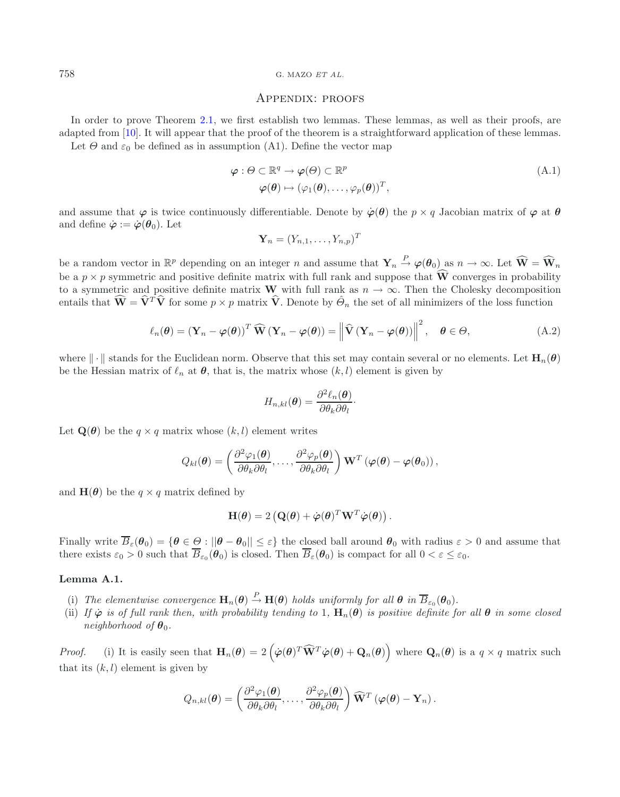#### 758 G. MAZO *ET AL.*

#### <span id="page-12-2"></span><span id="page-12-0"></span>Appendix: proofs

In order to prove Theorem [2.1,](#page-2-1) we first establish two lemmas. These lemmas, as well as their proofs, are adapted from [\[10](#page-18-7)]. It will appear that the proof of the theorem is a straightforward application of these lemmas.

Let  $\Theta$  and  $\varepsilon_0$  be defined as in assumption (A1). Define the vector map

$$
\varphi : \Theta \subset \mathbb{R}^q \to \varphi(\Theta) \subset \mathbb{R}^p
$$
  
\n
$$
\varphi(\theta) \mapsto (\varphi_1(\theta), \dots, \varphi_p(\theta))^T,
$$
\n(A.1)

and assume that  $\varphi$  is twice continuously differentiable. Denote by  $\varphi(\theta)$  the  $p \times q$  Jacobian matrix of  $\varphi$  at  $\theta$ and define  $\dot{\varphi} := \dot{\varphi}(\theta_0)$ . Let

$$
\mathbf{Y}_n = (Y_{n,1},\ldots,Y_{n,p})^T
$$

be a random vector in  $\mathbb{R}^p$  depending on an integer n and assume that  $\mathbf{Y}_n \stackrel{P}{\rightarrow} \varphi(\boldsymbol{\theta}_0)$  as  $n \to \infty$ . Let  $\widehat{\mathbf{W}} = \widehat{\mathbf{W}}_n$ be a  $p \times p$  symmetric and positive definite matrix with full rank and suppose that  $\widehat{W}$  converges in probability to a symmetric and positive definite matrix **W** with full rank as  $n \to \infty$ . Then the Cholesky decomposition entails that  $\widehat{\mathbf{W}} = \widehat{\mathbf{V}}^T \widehat{\mathbf{V}}$  for some  $p \times p$  matrix  $\widehat{\mathbf{V}}$ . Denote by  $\widehat{\Theta}_n$  the set of all minimizers of the loss function

$$
\ell_n(\boldsymbol{\theta}) = (\mathbf{Y}_n - \boldsymbol{\varphi}(\boldsymbol{\theta}))^T \widehat{\mathbf{W}} (\mathbf{Y}_n - \boldsymbol{\varphi}(\boldsymbol{\theta})) = ||\widehat{\mathbf{V}} (\mathbf{Y}_n - \boldsymbol{\varphi}(\boldsymbol{\theta}))||^2, \quad \boldsymbol{\theta} \in \Theta,
$$
\n(A.2)

where  $\|\cdot\|$  stands for the Euclidean norm. Observe that this set may contain several or no elements. Let  $\mathbf{H}_n(\theta)$ be the Hessian matrix of  $\ell_n$  at  $\theta$ , that is, the matrix whose  $(k, l)$  element is given by

$$
H_{n,kl}(\boldsymbol{\theta}) = \frac{\partial^2 \ell_n(\boldsymbol{\theta})}{\partial \theta_k \partial \theta_l}.
$$

Let  $\mathbf{Q}(\boldsymbol{\theta})$  be the  $q \times q$  matrix whose  $(k, l)$  element writes

$$
Q_{kl}(\boldsymbol{\theta}) = \left(\frac{\partial^2 \varphi_1(\boldsymbol{\theta})}{\partial \theta_k \partial \theta_l}, \ldots, \frac{\partial^2 \varphi_p(\boldsymbol{\theta})}{\partial \theta_k \partial \theta_l}\right) \mathbf{W}^T \left(\boldsymbol{\varphi}(\boldsymbol{\theta}) - \boldsymbol{\varphi}(\boldsymbol{\theta}_0)\right),
$$

and  $\mathbf{H}(\boldsymbol{\theta})$  be the  $q \times q$  matrix defined by

$$
\mathbf{H}(\boldsymbol{\theta}) = 2 \left( \mathbf{Q}(\boldsymbol{\theta}) + \dot{\boldsymbol{\varphi}}(\boldsymbol{\theta})^T \mathbf{W}^T \dot{\boldsymbol{\varphi}}(\boldsymbol{\theta}) \right).
$$

<span id="page-12-1"></span>Finally write  $\overline{B}_{\varepsilon}(\theta_0) = {\theta \in \Theta : ||\theta - \theta_0|| \leq \varepsilon}$  the closed ball around  $\theta_0$  with radius  $\varepsilon > 0$  and assume that there exists  $\varepsilon_0 > 0$  such that  $\overline{B}_{\varepsilon_0}(\theta_0)$  is closed. Then  $\overline{B}_{\varepsilon}(\theta_0)$  is compact for all  $0 < \varepsilon \leq \varepsilon_0$ .

#### **Lemma A.1.**

- (i) The elementwise convergence  $\mathbf{H}_n(\boldsymbol{\theta}) \stackrel{P}{\to} \mathbf{H}(\boldsymbol{\theta})$  holds uniformly for all  $\boldsymbol{\theta}$  in  $\overline{B}_{\varepsilon_0}(\boldsymbol{\theta}_0)$ .
- (ii) *If*  $\dot{\varphi}$  *is of full rank then, with probability tending to* 1,  $\mathbf{H}_n(\theta)$  *is positive definite for all*  $\theta$  *in some closed neighborhood of*  $\theta_0$ *.*

*Proof.* (i) It is easily seen that  $\mathbf{H}_n(\boldsymbol{\theta}) = 2\left(\dot{\boldsymbol{\varphi}}(\boldsymbol{\theta})^T\widehat{\mathbf{W}}^T\dot{\boldsymbol{\varphi}}(\boldsymbol{\theta}) + \mathbf{Q}_n(\boldsymbol{\theta})\right)$  where  $\mathbf{Q}_n(\boldsymbol{\theta})$  is a  $q \times q$  matrix such that its  $(k, l)$  element is given by

$$
Q_{n,kl}(\boldsymbol{\theta}) = \left(\frac{\partial^2 \varphi_1(\boldsymbol{\theta})}{\partial \theta_k \partial \theta_l}, \ldots, \frac{\partial^2 \varphi_p(\boldsymbol{\theta})}{\partial \theta_k \partial \theta_l}\right) \widehat{\mathbf{W}}^T \left(\boldsymbol{\varphi}(\boldsymbol{\theta}) - \mathbf{Y}_n\right).
$$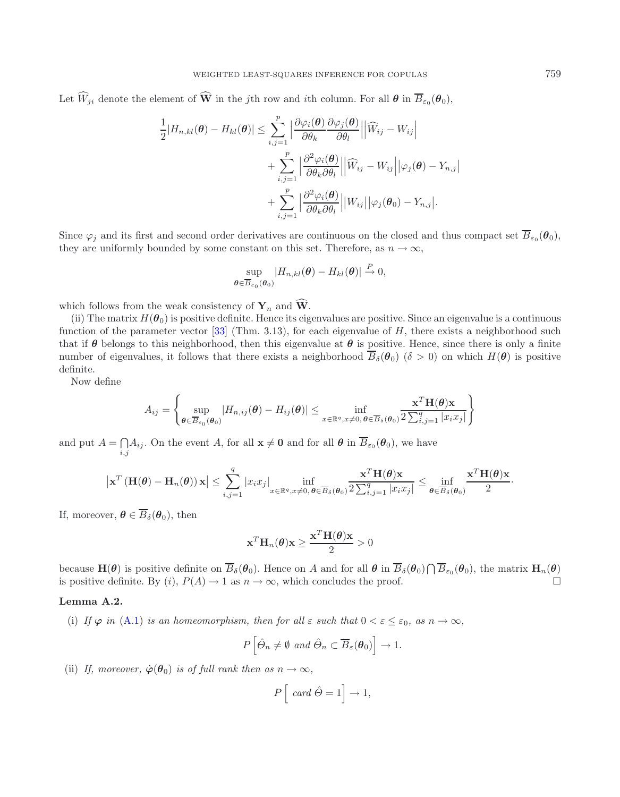Let  $\widehat{W}_{ji}$  denote the element of  $\widehat{W}$  in the *j*th row and *i*th column. For all  $\theta$  in  $\overline{B}_{\varepsilon_0}(\theta_0)$ ,

$$
\frac{1}{2}|H_{n,kl}(\boldsymbol{\theta}) - H_{kl}(\boldsymbol{\theta})| \leq \sum_{i,j=1}^p \left| \frac{\partial \varphi_i(\boldsymbol{\theta})}{\partial \theta_k} \frac{\partial \varphi_j(\boldsymbol{\theta})}{\partial \theta_l} \right| \left| \widehat{W}_{ij} - W_{ij} \right| + \sum_{i,j=1}^p \left| \frac{\partial^2 \varphi_i(\boldsymbol{\theta})}{\partial \theta_k \partial \theta_l} \right| \left| \widehat{W}_{ij} - W_{ij} \right| \left| \varphi_j(\boldsymbol{\theta}) - Y_{n,j} \right| + \sum_{i,j=1}^p \left| \frac{\partial^2 \varphi_i(\boldsymbol{\theta})}{\partial \theta_k \partial \theta_l} \right| \left| W_{ij} \right| \left| \varphi_j(\boldsymbol{\theta}_0) - Y_{n,j} \right|.
$$

Since  $\varphi_j$  and its first and second order derivatives are continuous on the closed and thus compact set  $\overline{B}_{\varepsilon_0}(\theta_0)$ , they are uniformly bounded by some constant on this set. Therefore, as  $n \to \infty$ ,

$$
\sup_{\boldsymbol{\theta}\in\overline{B}_{\varepsilon_0}(\boldsymbol{\theta}_0)}|H_{n,kl}(\boldsymbol{\theta})-H_{kl}(\boldsymbol{\theta})|\overset{P}{\to}0,
$$

which follows from the weak consistency of  $Y_n$  and  $\widehat{W}$ .

(ii) The matrix  $H(\theta_0)$  is positive definite. Hence its eigenvalues are positive. Since an eigenvalue is a continuous function of the parameter vector [\[33\]](#page-19-15) (Thm. 3.13), for each eigenvalue of H, there exists a neighborhood such that if  $\theta$  belongs to this neighborhood, then this eigenvalue at  $\theta$  is positive. Hence, since there is only a finite number of eigenvalues, it follows that there exists a neighborhood  $\overline{B}_{\delta}(\theta_0)$  ( $\delta > 0$ ) on which  $H(\theta)$  is positive definite.

Now define

$$
A_{ij} = \left\{ \sup_{\boldsymbol{\theta} \in \overline{B}_{\varepsilon_0}(\boldsymbol{\theta}_0)} |H_{n,ij}(\boldsymbol{\theta}) - H_{ij}(\boldsymbol{\theta})| \le \inf_{x \in \mathbb{R}^q, x \neq 0, \boldsymbol{\theta} \in \overline{B}_{\delta}(\boldsymbol{\theta}_0)} \frac{\mathbf{x}^T \mathbf{H}(\boldsymbol{\theta}) \mathbf{x}}{2 \sum_{i,j=1}^q |x_i x_j|} \right\}
$$

and put  $A = \bigcap_{i,j} A_{ij}$ . On the event A, for all  $\mathbf{x} \neq \mathbf{0}$  and for all  $\boldsymbol{\theta}$  in  $\overline{B}_{\varepsilon_0}(\boldsymbol{\theta}_0)$ , we have

$$
\left|\mathbf{x}^T\left(\mathbf{H}(\boldsymbol{\theta})-\mathbf{H}_n(\boldsymbol{\theta})\right)\mathbf{x}\right| \leq \sum_{i,j=1}^q \left|x_i x_j\right|_{x \in \mathbb{R}^q, x \neq 0, \boldsymbol{\theta} \in \overline{B}_\delta(\boldsymbol{\theta}_0)} \frac{\mathbf{x}^T \mathbf{H}(\boldsymbol{\theta})\mathbf{x}}{2 \sum_{i,j=1}^q \left|x_i x_j\right|} \leq \inf_{\boldsymbol{\theta} \in \overline{B}_\delta(\boldsymbol{\theta}_0)} \frac{\mathbf{x}^T \mathbf{H}(\boldsymbol{\theta})\mathbf{x}}{2}.
$$

If, moreover,  $\boldsymbol{\theta} \in \overline{B}_{\delta}(\boldsymbol{\theta}_0)$ , then

$$
\mathbf{x}^T \mathbf{H}_n(\boldsymbol{\theta}) \mathbf{x} \ge \frac{\mathbf{x}^T \mathbf{H}(\boldsymbol{\theta}) \mathbf{x}}{2} > 0
$$

because  $\mathbf{H}(\boldsymbol{\theta})$  is positive definite on  $\overline{B}_{\delta}(\boldsymbol{\theta}_0)$ . Hence on A and for all  $\boldsymbol{\theta}$  in  $\overline{B}_{\delta}(\boldsymbol{\theta}_0) \bigcap \overline{B}_{\varepsilon_0}(\boldsymbol{\theta}_0)$ , the matrix  $\mathbf{H}_n(\boldsymbol{\theta})$ is positive definite. By  $(i)$ ,  $P(A) \rightarrow 1$  as  $n \rightarrow \infty$ , which concludes the proof.  $\Box$ 

## <span id="page-13-0"></span>**Lemma A.2.**

(i) If  $\varphi$  *in* [\(A.1\)](#page-12-0) *is an homeomorphism, then for all*  $\varepsilon$  *such that*  $0 < \varepsilon \leq \varepsilon_0$ *, as*  $n \to \infty$ *,* 

$$
P\left[\hat{\Theta}_n \neq \emptyset \text{ and } \hat{\Theta}_n \subset \overline{B}_{\varepsilon}(\boldsymbol{\theta}_0)\right] \to 1.
$$

(ii) *If, moreover,*  $\dot{\varphi}(\theta_0)$  *is of full rank then as*  $n \to \infty$ *,* 

$$
P\left[\text{ card }\hat{\Theta} = 1\right] \to 1,
$$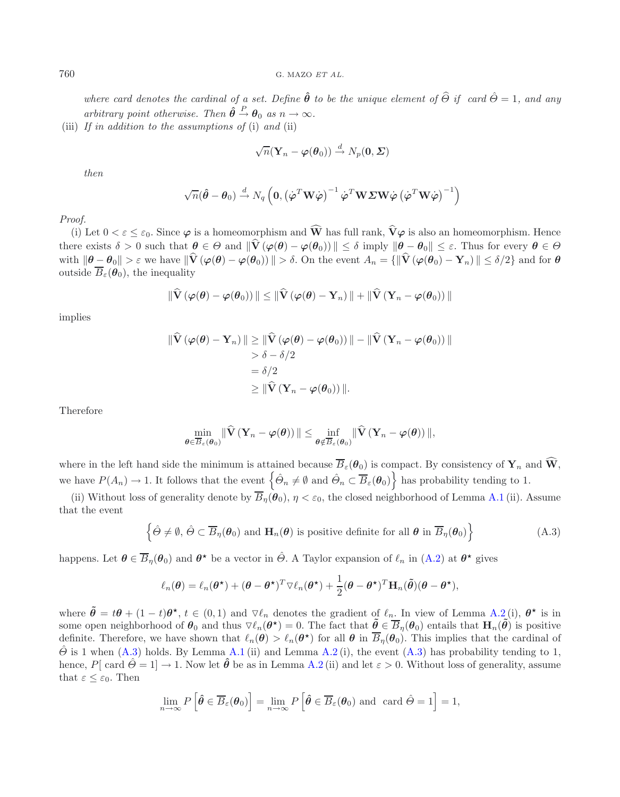*where card denotes the cardinal of a set. Define*  $\hat{\theta}$  *to be the unique element of*  $\hat{\theta}$  *if card*  $\hat{\theta} = 1$ *, and any arbitrary point otherwise. Then*  $\hat{\theta} \stackrel{P}{\rightarrow} \theta_0$  *as*  $n \rightarrow \infty$ *.* 

(iii) *If in addition to the assumptions of* (i) *and* (ii)

$$
\sqrt{n}(\mathbf{Y}_n-\boldsymbol{\varphi}(\boldsymbol{\theta}_0))\overset{d}{\to}N_p(\boldsymbol{0},\boldsymbol{\varSigma})
$$

*then*

$$
\sqrt{n}(\hat{\boldsymbol{\theta}} - \boldsymbol{\theta}_0) \stackrel{d}{\rightarrow} N_q\left(\mathbf{0}, \left(\dot{\boldsymbol{\varphi}}^T \mathbf{W} \dot{\boldsymbol{\varphi}}\right)^{-1} \dot{\boldsymbol{\varphi}}^T \mathbf{W} \boldsymbol{\varSigma} \mathbf{W} \dot{\boldsymbol{\varphi}} \left(\dot{\boldsymbol{\varphi}}^T \mathbf{W} \dot{\boldsymbol{\varphi}}\right)^{-1}\right)
$$

*Proof.*

(i) Let  $0 < \varepsilon \leq \varepsilon_0$ . Since  $\varphi$  is a homeomorphism and  $\widehat{W}$  has full rank,  $\widehat{V}\varphi$  is also an homeomorphism. Hence there exists  $\delta > 0$  such that  $\theta \in \Theta$  and  $\|\hat{V}(\varphi(\theta) - \varphi(\theta_0))\| \leq \delta$  imply  $\|\theta - \theta_0\| \leq \varepsilon$ . Thus for every  $\theta \in \Theta$ with  $\|\boldsymbol{\theta} - \boldsymbol{\theta}_0\| > \varepsilon$  we have  $\|\hat{\mathbf{V}}(\boldsymbol{\varphi}(\boldsymbol{\theta}) - \boldsymbol{\varphi}(\boldsymbol{\theta}_0))\| > \delta$ . On the event  $A_n = \{\|\hat{\mathbf{V}}(\boldsymbol{\varphi}(\boldsymbol{\theta}_0) - \mathbf{Y}_n)\| \leq \delta/2\}$  and for  $\boldsymbol{\theta}$ outside  $\overline{B}_{\varepsilon}(\theta_0)$ , the inequality

$$
\|\widehat{\mathbf{V}}\left(\boldsymbol{\varphi}(\boldsymbol{\theta})-\boldsymbol{\varphi}(\boldsymbol{\theta}_0)\right)\|\leq\|\widehat{\mathbf{V}}\left(\boldsymbol{\varphi}(\boldsymbol{\theta})-\mathbf{Y}_n\right)\|+\|\widehat{\mathbf{V}}\left(\mathbf{Y}_n-\boldsymbol{\varphi}(\boldsymbol{\theta}_0)\right)\|
$$

implies

$$
\begin{aligned} \|\hat{\mathbf{V}}\left(\varphi(\boldsymbol{\theta})-\mathbf{Y}_n\right)\| &\geq \|\hat{\mathbf{V}}\left(\varphi(\boldsymbol{\theta})-\varphi(\boldsymbol{\theta}_0)\right)\|-\|\hat{\mathbf{V}}\left(\mathbf{Y}_n-\varphi(\boldsymbol{\theta}_0)\right)\|\\ &>\delta-\delta/2\\ &= \delta/2\\ &\geq \|\hat{\mathbf{V}}\left(\mathbf{Y}_n-\varphi(\boldsymbol{\theta}_0)\right)\|. \end{aligned}
$$

Therefore

<span id="page-14-0"></span>
$$
\min_{\boldsymbol{\theta}\in\overline{B}_{\varepsilon}(\boldsymbol{\theta}_0)}\|\widehat{\mathbf{V}}\left(\mathbf{Y}_n-\boldsymbol{\varphi}(\boldsymbol{\theta})\right)\|\leq\inf_{\boldsymbol{\theta}\notin\overline{B}_{\varepsilon}(\boldsymbol{\theta}_0)}\|\widehat{\mathbf{V}}\left(\mathbf{Y}_n-\boldsymbol{\varphi}(\boldsymbol{\theta})\right)\|,
$$

where in the left hand side the minimum is attained because  $\overline{B}_{\varepsilon}(\theta_0)$  is compact. By consistency of  $\mathbf{Y}_n$  and  $\mathbf{\hat{W}}$ , we have  $P(A_n) \to 1$ . It follows that the event  $\left\{\hat{\Theta}_n \neq \emptyset \text{ and } \hat{\Theta}_n \subset \overline{B}_{\varepsilon}(\boldsymbol{\theta}_0)\right\}$  has probability tending to 1.

(ii) Without loss of generality denote by  $\overline{B}_n(\theta_0)$ ,  $\eta < \varepsilon_0$ , the closed neighborhood of Lemma [A.1](#page-12-1) (ii). Assume that the event

$$
\left\{\hat{\Theta} \neq \emptyset, \ \hat{\Theta} \subset \overline{B}_{\eta}(\boldsymbol{\theta}_0) \ \text{and} \ \mathbf{H}_n(\boldsymbol{\theta}) \ \text{is positive definite for all } \boldsymbol{\theta} \ \text{in } \overline{B}_{\eta}(\boldsymbol{\theta}_0) \right\} \tag{A.3}
$$

happens. Let  $\theta \in \overline{B}_\eta(\theta_0)$  and  $\theta^*$  be a vector in  $\hat{\Theta}$ . A Taylor expansion of  $\ell_n$  in [\(A.2\)](#page-12-2) at  $\theta^*$  gives

$$
\ell_n(\boldsymbol{\theta}) = \ell_n(\boldsymbol{\theta}^{\star}) + (\boldsymbol{\theta} - \boldsymbol{\theta}^{\star})^T \nabla \ell_n(\boldsymbol{\theta}^{\star}) + \frac{1}{2} (\boldsymbol{\theta} - \boldsymbol{\theta}^{\star})^T \mathbf{H}_n(\tilde{\boldsymbol{\theta}}) (\boldsymbol{\theta} - \boldsymbol{\theta}^{\star}),
$$

where  $\tilde{\theta} = t\theta + (1-t)\theta^{\star}$ ,  $t \in (0,1)$  and  $\nabla \ell_n$  denotes the gradient of  $\ell_n$ . In view of Lemma [A.2](#page-13-0)(i),  $\theta^{\star}$  is in some open neighborhood of  $\theta_0$  and thus  $\nabla \ell_n(\theta^*) = 0$ . The fact that  $\tilde{\theta} \in \overline{B}_\eta(\theta_0)$  entails that  $\mathbf{H}_n(\tilde{\theta})$  is positive definite. Therefore, we have shown that  $\ell_n(\theta) > \ell_n(\theta^*)$  for all  $\theta$  in  $\overline{B}_n(\theta_0)$ . This implies that the cardinal of  $\hat{\Theta}$  is 1 when [\(A.3\)](#page-14-0) holds. By Lemma [A.1](#page-12-1) (ii) and Lemma [A.2](#page-13-0) (i), the event (A.3) has probability tending to 1, hence,  $P[\text{ card } \hat{\Theta} = 1] \rightarrow 1$ . Now let  $\hat{\theta}$  be as in Lemma [A.2](#page-13-0) (ii) and let  $\varepsilon > 0$ . Without loss of generality, assume that  $\varepsilon \leq \varepsilon_0$ . Then

$$
\lim_{n\to\infty} P\left[\hat{\boldsymbol{\theta}} \in \overline{B}_{\varepsilon}(\boldsymbol{\theta}_0)\right] = \lim_{n\to\infty} P\left[\hat{\boldsymbol{\theta}} \in \overline{B}_{\varepsilon}(\boldsymbol{\theta}_0) \text{ and } \operatorname{card} \hat{\boldsymbol{\theta}} = 1\right] = 1,
$$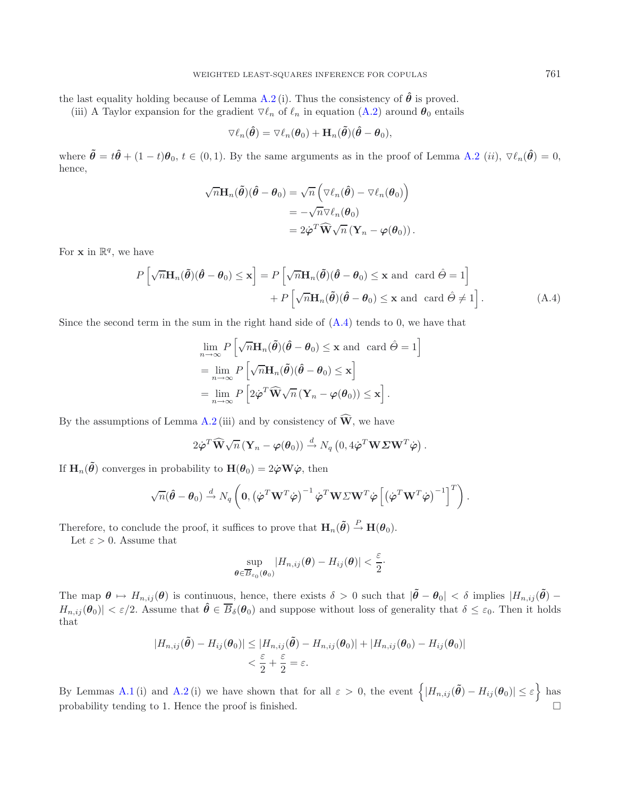the last equality holding because of Lemma [A.2](#page-13-0) (i). Thus the consistency of  $\hat{\theta}$  is proved.

(iii) A Taylor expansion for the gradient  $\nabla \ell_n$  of  $\ell_n$  in equation [\(A.2\)](#page-12-2) around  $\theta_0$  entails

<span id="page-15-0"></span>
$$
\triangledown \ell_n(\hat{\boldsymbol{\theta}}) = \triangledown \ell_n(\boldsymbol{\theta}_0) + \mathbf{H}_n(\tilde{\boldsymbol{\theta}})(\hat{\boldsymbol{\theta}} - \boldsymbol{\theta}_0),
$$

where  $\tilde{\boldsymbol{\theta}} = t\hat{\boldsymbol{\theta}} + (1-t)\boldsymbol{\theta}_0, t \in (0,1)$ . By the same arguments as in the proof of Lemma [A.2](#page-13-0) (*ii*),  $\nabla \ell_n(\hat{\boldsymbol{\theta}}) = 0$ , hence,

$$
\sqrt{n} \mathbf{H}_n(\tilde{\boldsymbol{\theta}})(\hat{\boldsymbol{\theta}} - \boldsymbol{\theta}_0) = \sqrt{n} \left( \nabla \ell_n(\hat{\boldsymbol{\theta}}) - \nabla \ell_n(\boldsymbol{\theta}_0) \right)
$$
  
= -\sqrt{n} \nabla \ell\_n(\boldsymbol{\theta}\_0)  
= 2\dot{\boldsymbol{\varphi}}^T \widehat{\mathbf{W}} \sqrt{n} (\mathbf{Y}\_n - \boldsymbol{\varphi}(\boldsymbol{\theta}\_0)).

For **x** in  $\mathbb{R}^q$ , we have

$$
P\left[\sqrt{n}\mathbf{H}_n(\tilde{\boldsymbol{\theta}})(\hat{\boldsymbol{\theta}} - \boldsymbol{\theta}_0) \leq \mathbf{x}\right] = P\left[\sqrt{n}\mathbf{H}_n(\tilde{\boldsymbol{\theta}})(\hat{\boldsymbol{\theta}} - \boldsymbol{\theta}_0) \leq \mathbf{x} \text{ and card } \hat{\boldsymbol{\theta}} = 1\right] + P\left[\sqrt{n}\mathbf{H}_n(\tilde{\boldsymbol{\theta}})(\hat{\boldsymbol{\theta}} - \boldsymbol{\theta}_0) \leq \mathbf{x} \text{ and card } \hat{\boldsymbol{\theta}} \neq 1\right].
$$
 (A.4)

Since the second term in the sum in the right hand side of [\(A.4\)](#page-15-0) tends to 0, we have that

$$
\lim_{n \to \infty} P\left[\sqrt{n} \mathbf{H}_n(\tilde{\boldsymbol{\theta}})(\hat{\boldsymbol{\theta}} - \boldsymbol{\theta}_0) \le \mathbf{x} \text{ and } \operatorname{card} \hat{\boldsymbol{\theta}} = 1\right]
$$
  
= 
$$
\lim_{n \to \infty} P\left[\sqrt{n} \mathbf{H}_n(\tilde{\boldsymbol{\theta}})(\hat{\boldsymbol{\theta}} - \boldsymbol{\theta}_0) \le \mathbf{x}\right]
$$
  
= 
$$
\lim_{n \to \infty} P\left[2\dot{\boldsymbol{\varphi}}^T \widehat{\mathbf{W}} \sqrt{n} (\mathbf{Y}_n - \boldsymbol{\varphi}(\boldsymbol{\theta}_0)) \le \mathbf{x}\right].
$$

By the assumptions of Lemma [A.2](#page-13-0) (iii) and by consistency of  $\widehat{W}$ , we have

$$
2\dot{\boldsymbol{\varphi}}^T \widehat{\mathbf{W}} \sqrt{n} \left( \mathbf{Y}_n - \boldsymbol{\varphi}(\boldsymbol{\theta}_0) \right) \stackrel{d}{\rightarrow} N_q \left( 0, 4\dot{\boldsymbol{\varphi}}^T \mathbf{W} \boldsymbol{\varSigma} \mathbf{W}^T \dot{\boldsymbol{\varphi}} \right).
$$

If  $\mathbf{H}_n(\tilde{\theta})$  converges in probability to  $\mathbf{H}(\theta_0)=2\dot{\varphi}\mathbf{W}\dot{\varphi}$ , then

$$
\sqrt{n}(\hat{\boldsymbol{\theta}} - \boldsymbol{\theta}_0) \stackrel{d}{\rightarrow} N_q \left( \mathbf{0}, \left( \dot{\boldsymbol{\varphi}}^T \mathbf{W}^T \dot{\boldsymbol{\varphi}} \right)^{-1} \dot{\boldsymbol{\varphi}}^T \mathbf{W} \boldsymbol{\Sigma} \mathbf{W}^T \dot{\boldsymbol{\varphi}} \left[ \left( \dot{\boldsymbol{\varphi}}^T \mathbf{W}^T \dot{\boldsymbol{\varphi}} \right)^{-1} \right]^T \right).
$$

Therefore, to conclude the proof, it suffices to prove that  $\mathbf{H}_n(\tilde{\theta}) \stackrel{P}{\to} \mathbf{H}(\theta_0)$ .

Let  $\varepsilon > 0$ . Assume that

$$
\sup_{\boldsymbol{\theta}\in\overline{B}_{\varepsilon_0}(\boldsymbol{\theta}_0)}|H_{n,ij}(\boldsymbol{\theta})-H_{ij}(\boldsymbol{\theta})|<\frac{\varepsilon}{2}.
$$

The map  $\theta \mapsto H_{n,ij}(\theta)$  is continuous, hence, there exists  $\delta > 0$  such that  $|\tilde{\theta} - \theta_0| < \delta$  implies  $|H_{n,ij}(\tilde{\theta}) - \theta_0|$  $H_{n,ij}(\theta_0)| < \varepsilon/2$ . Assume that  $\hat{\theta} \in \overline{B}_{\delta}(\theta_0)$  and suppose without loss of generality that  $\delta \leq \varepsilon_0$ . Then it holds that

$$
|H_{n,ij}(\tilde{\theta}) - H_{ij}(\theta_0)| \le |H_{n,ij}(\tilde{\theta}) - H_{n,ij}(\theta_0)| + |H_{n,ij}(\theta_0) - H_{ij}(\theta_0)|
$$
  

$$
< \frac{\varepsilon}{2} + \frac{\varepsilon}{2} = \varepsilon.
$$

By Lemmas [A.1](#page-12-1) (i) and [A.2](#page-13-0) (i) we have shown that for all  $\varepsilon > 0$ , the event  $\left\{ |H_{n,ij}(\tilde{\theta}) - H_{ij}(\theta_0)| \leq \varepsilon \right\}$  has probability tending to 1. Hence the proof is finished. -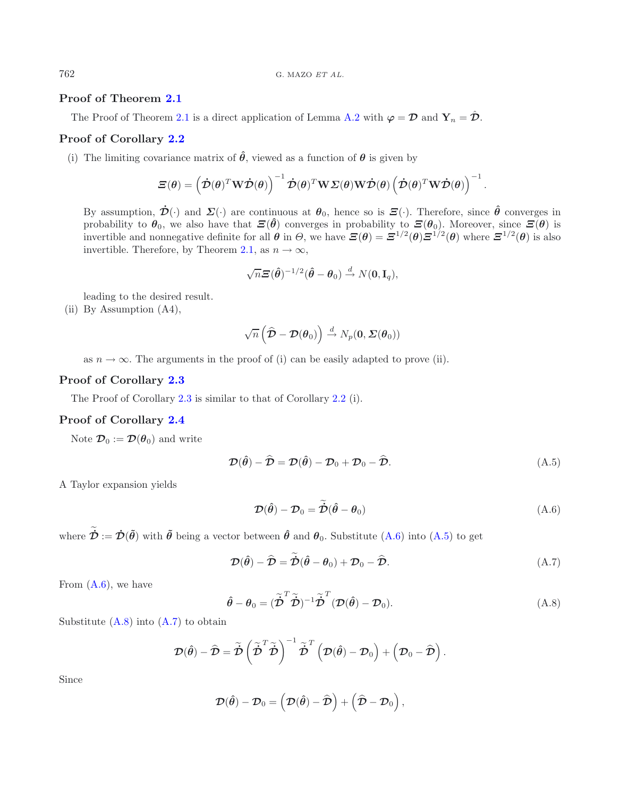# **Proof of Theorem [2.1](#page-2-1)**

The Proof of Theorem [2.1](#page-2-1) is a direct application of Lemma [A.2](#page-13-0) with  $\varphi = \mathcal{D}$  and  $\mathbf{Y}_n = \hat{\mathcal{D}}$ .

# **Proof of Corollary [2.2](#page-3-0)**

(i) The limiting covariance matrix of  $\hat{\theta}$ , viewed as a function of  $\theta$  is given by

$$
\boldsymbol{\Xi}(\boldsymbol{\theta}) = \left(\boldsymbol{\dot{\mathcal{D}}}(\boldsymbol{\theta})^T \mathbf{W} \boldsymbol{\dot{\mathcal{D}}}(\boldsymbol{\theta})\right)^{-1} \boldsymbol{\dot{\mathcal{D}}}(\boldsymbol{\theta})^T \mathbf{W} \boldsymbol{\Sigma}(\boldsymbol{\theta}) \mathbf{W} \boldsymbol{\dot{\mathcal{D}}}(\boldsymbol{\theta}) \left(\boldsymbol{\dot{\mathcal{D}}}(\boldsymbol{\theta})^T \mathbf{W} \boldsymbol{\dot{\mathcal{D}}}(\boldsymbol{\theta})\right)^{-1}.
$$

By assumption,  $\dot{\mathcal{D}}(\cdot)$  and  $\Sigma(\cdot)$  are continuous at  $\theta_0$ , hence so is  $\Xi(\cdot)$ . Therefore, since  $\hat{\theta}$  converges in probability to  $\theta_0$ , we also have that  $\mathcal{Z}(\hat{\theta})$  converges in probability to  $\mathcal{Z}(\theta_0)$ . Moreover, since  $\mathcal{Z}(\theta)$  is invertible and nonnegative definite for all  $\theta$  in  $\theta$ , we have  $\mathbf{E}(\theta) = \mathbf{E}^{1/2}(\theta)\mathbf{E}^{1/2}(\theta)$  where  $\mathbf{E}^{1/2}(\theta)$  is also invertible. Therefore, by Theorem [2.1,](#page-2-1) as  $n \to \infty$ ,

<span id="page-16-1"></span>
$$
\sqrt{n}\boldsymbol{\Xi}(\hat{\boldsymbol{\theta}})^{-1/2}(\hat{\boldsymbol{\theta}}-\boldsymbol{\theta}_0)\stackrel{d}{\rightarrow} N(\mathbf{0},\mathbf{I}_q),
$$

leading to the desired result.

(ii) By Assumption (A4),

<span id="page-16-3"></span><span id="page-16-0"></span>
$$
\sqrt{n}\left(\widehat{\boldsymbol{\mathcal{D}}}-\boldsymbol{\mathcal{D}}(\boldsymbol{\theta}_0)\right) \stackrel{d}{\rightarrow} N_p(\boldsymbol{0},\boldsymbol{\varSigma}(\boldsymbol{\theta}_0))
$$

as  $n \to \infty$ . The arguments in the proof of (i) can be easily adapted to prove (ii).

# **Proof of Corollary [2.3](#page-3-1)**

The Proof of Corollary [2.3](#page-3-1) is similar to that of Corollary [2.2](#page-3-0) (i).

# **Proof of Corollary [2.4](#page-3-2)**

<span id="page-16-2"></span>Note  $\mathcal{D}_0 := \mathcal{D}(\theta_0)$  and write

$$
\mathcal{D}(\hat{\boldsymbol{\theta}}) - \hat{\mathcal{D}} = \mathcal{D}(\hat{\boldsymbol{\theta}}) - \mathcal{D}_0 + \mathcal{D}_0 - \hat{\mathcal{D}}.
$$
\n(A.5)

A Taylor expansion yields

$$
\mathcal{D}(\hat{\theta}) - \mathcal{D}_0 = \dot{\mathcal{D}}(\hat{\theta} - \theta_0)
$$
 (A.6)

where  $\dot{\mathcal{D}} := \dot{\mathcal{D}}(\tilde{\theta})$  with  $\tilde{\theta}$  being a vector between  $\hat{\theta}$  and  $\theta_0$ . Substitute [\(A.6\)](#page-16-0) into [\(A.5\)](#page-16-1) to get

$$
\mathcal{D}(\hat{\theta}) - \hat{\mathcal{D}} = \tilde{\mathcal{D}}(\hat{\theta} - \theta_0) + \mathcal{D}_0 - \hat{\mathcal{D}}.
$$
 (A.7)

From  $(A.6)$ , we have

$$
\hat{\theta} - \theta_0 = (\tilde{\vec{\mathcal{D}}}^T \tilde{\vec{\mathcal{D}}})^{-1} \tilde{\vec{\mathcal{D}}}^T (\mathcal{D}(\hat{\theta}) - \mathcal{D}_0).
$$
\n(A.8)

Substitute  $(A.8)$  into  $(A.7)$  to obtain

$$
\boldsymbol{\mathcal{D}}(\hat{\boldsymbol{\theta}}) - \widehat{\boldsymbol{\mathcal{D}}} = \widetilde{\boldsymbol{\mathcal{D}}}\left(\widetilde{\boldsymbol{\mathcal{D}}}^T\widetilde{\boldsymbol{\mathcal{D}}}\right)^{-1}\widetilde{\boldsymbol{\mathcal{D}}}^T\left(\boldsymbol{\mathcal{D}}(\hat{\boldsymbol{\theta}})-\boldsymbol{\mathcal{D}}_0\right) + \left(\boldsymbol{\mathcal{D}}_0-\widehat{\boldsymbol{\mathcal{D}}}\right).
$$

Since

$$
\boldsymbol{\mathcal{D}}(\boldsymbol{\hat{\theta}})-\boldsymbol{\mathcal{D}}_0=\left(\boldsymbol{\mathcal{D}}(\boldsymbol{\hat{\theta}})-\widehat{\boldsymbol{\mathcal{D}}}\right)+\left(\widehat{\boldsymbol{\mathcal{D}}}-\boldsymbol{\mathcal{D}}_0\right),
$$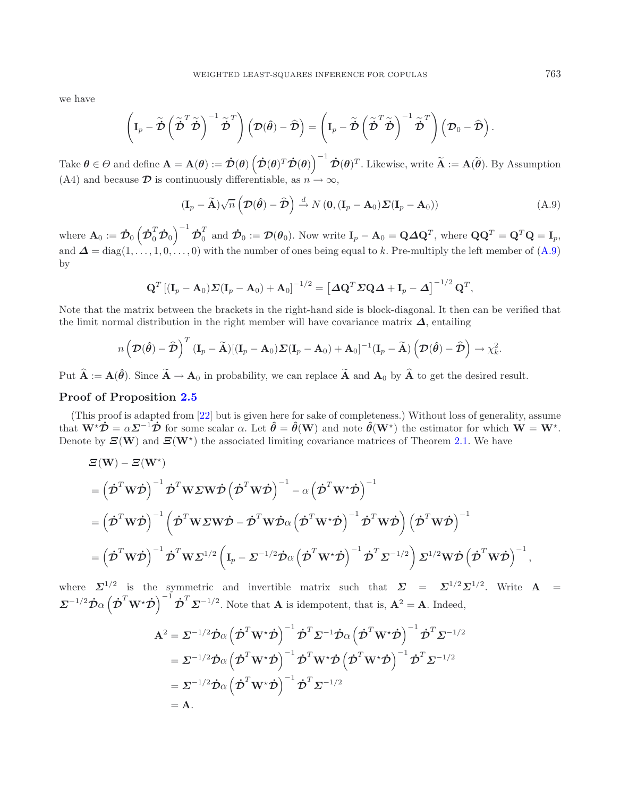we have

$$
\left(\mathbf{I}_p-\tilde{\boldsymbol{\mathcal{D}}}\left(\tilde{\boldsymbol{\mathcal{D}}}^T\tilde{\boldsymbol{\mathcal{D}}}\right)^{-1}\tilde{\boldsymbol{\mathcal{D}}}^T\right)\left(\boldsymbol{\mathcal{D}}(\hat{\boldsymbol{\theta}})-\widehat{\boldsymbol{\mathcal{D}}}\right)=\left(\mathbf{I}_p-\tilde{\boldsymbol{\mathcal{D}}}\left(\tilde{\boldsymbol{\mathcal{D}}}^T\tilde{\boldsymbol{\mathcal{D}}}\right)^{-1}\tilde{\boldsymbol{\mathcal{D}}}^T\right)\left(\boldsymbol{\mathcal{D}}_0-\widehat{\boldsymbol{\mathcal{D}}}\right).
$$

Take  $\boldsymbol{\theta} \in \Theta$  and define  $\mathbf{A} = \mathbf{A}(\boldsymbol{\theta}) := \dot{\mathcal{D}}(\boldsymbol{\theta}) \left( \dot{\mathcal{D}}(\boldsymbol{\theta})^T \dot{\mathcal{D}}(\boldsymbol{\theta}) \right)^{-1} \dot{\mathcal{D}}(\boldsymbol{\theta})^T$ . Likewise, write  $\widetilde{\mathbf{A}} := \mathbf{A}(\widetilde{\boldsymbol{\theta}})$ . By Assumption (A4) and because  $\mathcal D$  is continuously differentiable, as  $n \to \infty$ ,

<span id="page-17-0"></span>
$$
(\mathbf{I}_p - \widetilde{\mathbf{A}})\sqrt{n}\left(\mathcal{D}(\hat{\boldsymbol{\theta}}) - \widehat{\mathcal{D}}\right) \stackrel{d}{\rightarrow} N\left(\mathbf{0}, (\mathbf{I}_p - \mathbf{A}_0)\mathcal{Z}(\mathbf{I}_p - \mathbf{A}_0)\right)
$$
(A.9)

where  $\mathbf{A}_0 := \dot{\mathcal{D}}_0 \left( \dot{\mathcal{D}}_0^T \dot{\mathcal{D}}_0 \right)^{-1} \dot{\mathcal{D}}_0^T$  and  $\dot{\mathcal{D}}_0 := \mathcal{D}(\theta_0)$ . Now write  $\mathbf{I}_p - \mathbf{A}_0 = \mathbf{Q} \Delta \mathbf{Q}^T$ , where  $\mathbf{Q} \mathbf{Q}^T = \mathbf{Q}^T \mathbf{Q} = \mathbf{I}_p$ , and  $\Delta = \text{diag}(1,\ldots,1,0,\ldots,0)$  with the number of ones being equal to k. Pre-multiply the left member of  $(A.9)$ by

$$
\mathbf{Q}^T \left[ (\mathbf{I}_p - \mathbf{A}_0) \mathbf{\Sigma} (\mathbf{I}_p - \mathbf{A}_0) + \mathbf{A}_0 \right]^{-1/2} = \left[ \Delta \mathbf{Q}^T \mathbf{\Sigma} \mathbf{Q} \mathbf{\Delta} + \mathbf{I}_p - \mathbf{\Delta} \right]^{-1/2} \mathbf{Q}^T,
$$

Note that the matrix between the brackets in the right-hand side is block-diagonal. It then can be verified that the limit normal distribution in the right member will have covariance matrix *Δ*, entailing

$$
n\left(\mathcal{D}(\hat{\boldsymbol{\theta}})-\widehat{\mathcal{D}}\right)^T(\mathbf{I}_p-\widetilde{\mathbf{A}})[(\mathbf{I}_p-\mathbf{A}_0)\boldsymbol{\Sigma}(\mathbf{I}_p-\mathbf{A}_0)+\mathbf{A}_0]^{-1}(\mathbf{I}_p-\widetilde{\mathbf{A}})\left(\mathcal{D}(\hat{\boldsymbol{\theta}})-\widehat{\mathcal{D}}\right)\to\chi_k^2.
$$

Put  $\hat{\mathbf{A}} := \mathbf{A}(\hat{\boldsymbol{\theta}})$ . Since  $\tilde{\mathbf{A}} \to \mathbf{A}_0$  in probability, we can replace  $\tilde{\mathbf{A}}$  and  $\mathbf{A}_0$  by  $\hat{\mathbf{A}}$  to get the desired result.

# **Proof of Proposition [2.5](#page-4-1)**

*Ξ*(**W**) − *Ξ*(**W**)

(This proof is adapted from [\[22\]](#page-19-6) but is given here for sake of completeness.) Without loss of generality, assume that  $\mathbf{W}^{\star}\dot{\mathcal{D}} = \alpha \mathcal{L}^{-1}\dot{\mathcal{D}}$  for some scalar  $\alpha$ . Let  $\hat{\theta} = \hat{\theta}(\mathbf{W})$  and note  $\hat{\theta}(\mathbf{W}^{\star})$  the estimator for which  $\mathbf{W} = \mathbf{W}^{\star}$ . Denote by  $\Xi(\mathbf{W})$  and  $\Xi(\mathbf{W}^*)$  the associated limiting covariance matrices of Theorem [2.1.](#page-2-1) We have

$$
\begin{split} & \boldsymbol{\Xi}(\mathbf{W}) - \boldsymbol{\Xi}(\mathbf{W}^{\star}) \\ & = \left(\dot{\boldsymbol{\mathcal{D}}}^{T}\mathbf{W}\dot{\boldsymbol{\mathcal{D}}}\right)^{-1}\dot{\boldsymbol{\mathcal{D}}}^{T}\mathbf{W}\boldsymbol{\Sigma}\mathbf{W}\dot{\boldsymbol{\mathcal{D}}} \left(\dot{\boldsymbol{\mathcal{D}}}^{T}\mathbf{W}\dot{\boldsymbol{\mathcal{D}}}\right)^{-1} - \alpha\left(\dot{\boldsymbol{\mathcal{D}}}^{T}\mathbf{W}^{\star}\dot{\boldsymbol{\mathcal{D}}}\right)^{-1} \\ & = \left(\dot{\boldsymbol{\mathcal{D}}}^{T}\mathbf{W}\dot{\boldsymbol{\mathcal{D}}}\right)^{-1}\left(\dot{\boldsymbol{\mathcal{D}}}^{T}\mathbf{W}\boldsymbol{\Sigma}\mathbf{W}\dot{\boldsymbol{\mathcal{D}}}-\dot{\boldsymbol{\mathcal{D}}}^{T}\mathbf{W}\dot{\boldsymbol{\mathcal{D}}}\alpha\left(\dot{\boldsymbol{\mathcal{D}}}^{T}\mathbf{W}^{\star}\dot{\boldsymbol{\mathcal{D}}}\right)^{-1}\dot{\boldsymbol{\mathcal{D}}}^{T}\mathbf{W}\dot{\boldsymbol{\mathcal{D}}}\right)\left(\dot{\boldsymbol{\mathcal{D}}}^{T}\mathbf{W}\dot{\boldsymbol{\mathcal{D}}}\right)^{-1} \\ & = \left(\dot{\boldsymbol{\mathcal{D}}}^{T}\mathbf{W}\dot{\boldsymbol{\mathcal{D}}}\right)^{-1}\dot{\boldsymbol{\mathcal{D}}}^{T}\mathbf{W}\boldsymbol{\Sigma}^{1/2}\left(\mathbf{I}_{p} - \boldsymbol{\Sigma}^{-1/2}\dot{\boldsymbol{\mathcal{D}}}\alpha\left(\dot{\boldsymbol{\mathcal{D}}}^{T}\mathbf{W}^{\star}\dot{\boldsymbol{\mathcal{D}}}\right)^{-1}\dot{\boldsymbol{\mathcal{D}}}^{T}\boldsymbol{\Sigma}^{-1/2}\right)\boldsymbol{\Sigma}^{1/2}\mathbf{W}\dot{\boldsymbol{\mathcal{D}}} \left(\dot{\boldsymbol{\mathcal{D}}}^{T}\mathbf{W}\dot{\boldsymbol{\mathcal{D}}}\right)^{-1}, \end{split}
$$

where  $\Sigma^{1/2}$  is the symmetric and invertible matrix such that  $\Sigma = \Sigma^{1/2} \Sigma^{1/2}$ . Write  $\mathbf{A} =$  $\Sigma^{-1/2} \dot{\mathcal{D}} \alpha \left( \dot{\mathcal{D}}^T \mathbf{W}^{\star} \dot{\mathcal{D}} \right)^{-1} \dot{\mathcal{D}}^T \Sigma^{-1/2}$ . Note that **A** is idempotent, that is,  $\mathbf{A}^2 = \mathbf{A}$ . Indeed,

$$
\mathbf{A}^{2} = \Sigma^{-1/2} \dot{\mathbf{D}} \alpha \left( \dot{\mathbf{D}}^{T} \mathbf{W}^{*} \dot{\mathbf{D}} \right)^{-1} \dot{\mathbf{D}}^{T} \Sigma^{-1} \dot{\mathbf{D}} \alpha \left( \dot{\mathbf{D}}^{T} \mathbf{W}^{*} \dot{\mathbf{D}} \right)^{-1} \dot{\mathbf{D}}^{T} \Sigma^{-1/2} \n= \Sigma^{-1/2} \dot{\mathbf{D}} \alpha \left( \dot{\mathbf{D}}^{T} \mathbf{W}^{*} \dot{\mathbf{D}} \right)^{-1} \dot{\mathbf{D}}^{T} \mathbf{W}^{*} \dot{\mathbf{D}} \left( \dot{\mathbf{D}}^{T} \mathbf{W}^{*} \dot{\mathbf{D}} \right)^{-1} \dot{\mathbf{D}}^{T} \Sigma^{-1/2} \n= \Sigma^{-1/2} \dot{\mathbf{D}} \alpha \left( \dot{\mathbf{D}}^{T} \mathbf{W}^{*} \dot{\mathbf{D}} \right)^{-1} \dot{\mathbf{D}}^{T} \Sigma^{-1/2} \n= \mathbf{A}.
$$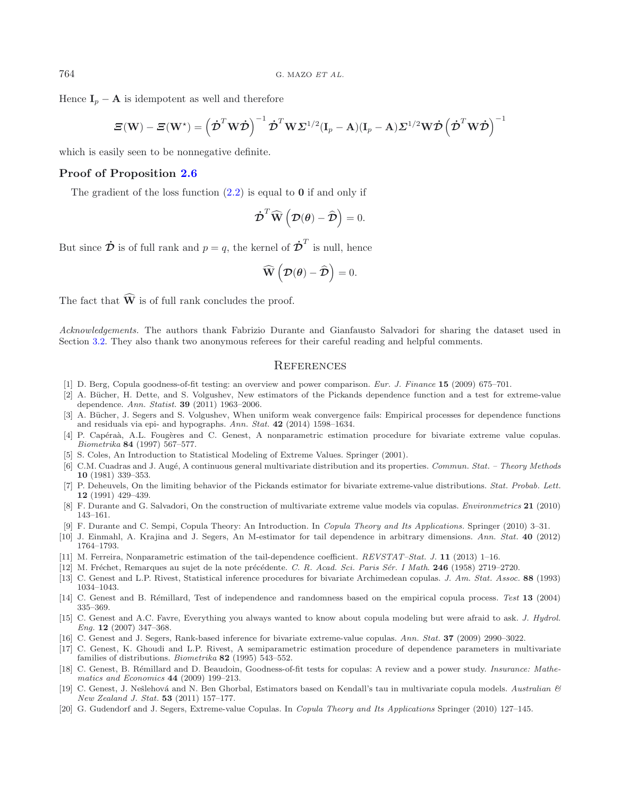Hence  $I_p - A$  is idempotent as well and therefore

$$
\boldsymbol{\varXi}(\mathbf{W})-\boldsymbol{\varXi}(\mathbf{W}^{\star})=\left(\boldsymbol{\dot{\mathcal{D}}}^{T}\mathbf{W}\boldsymbol{\dot{\mathcal{D}}}\right)^{-1}\boldsymbol{\dot{\mathcal{D}}}^{T}\mathbf{W}\boldsymbol{\varSigma}^{1/2}(\mathbf{I}_{p}-\mathbf{A})(\mathbf{I}_{p}-\mathbf{A})\boldsymbol{\varSigma}^{1/2}\mathbf{W}\boldsymbol{\dot{\mathcal{D}}}\left(\boldsymbol{\dot{\mathcal{D}}}^{T}\mathbf{W}\boldsymbol{\dot{\mathcal{D}}}\right)^{-1}
$$

which is easily seen to be nonnegative definite.

# **Proof of Proposition [2.6](#page-4-5)**

The gradient of the loss function [\(2.2\)](#page-1-1) is equal to **0** if and only if

$$
\dot{\boldsymbol{\mathcal{D}}}^T \widehat{\mathbf{W}}\left(\boldsymbol{\mathcal{D}}(\boldsymbol{\theta}) - \widehat{\boldsymbol{\mathcal{D}}}\right) = 0.
$$

But since  $\dot{\mathcal{D}}$  is of full rank and  $p = q$ , the kernel of  $\dot{\mathcal{D}}^T$  is null, hence

$$
\widehat{\mathbf{W}}\left(\mathcal{D}(\boldsymbol{\theta}) - \widehat{\mathcal{D}}\right) = 0.
$$

The fact that  $\widehat{W}$  is of full rank concludes the proof.

*Acknowledgements.* The authors thank Fabrizio Durante and Gianfausto Salvadori for sharing the dataset used in Section [3.2.](#page-9-0) They also thank two anonymous referees for their careful reading and helpful comments.

## **REFERENCES**

- <span id="page-18-18"></span>[1] D. Berg, Copula goodness-of-fit testing: an overview and power comparison. *Eur. J. Finance* **15** (2009) 675–701.
- <span id="page-18-11"></span>[2] A. Bücher, H. Dette, and S. Volgushev, New estimators of the Pickands dependence function and a test for extreme-value dependence. *Ann. Statist.* **39** (2011) 1963–2006.
- <span id="page-18-6"></span>[3] A. Bücher, J. Segers and S. Volgushev, When uniform weak convergence fails: Empirical processes for dependence functions and residuals via epi- and hypographs. *Ann. Stat.* **42** (2014) 1598–1634.
- <span id="page-18-13"></span>[4] P. Capéraà, A.L. Fougères and C. Genest, A nonparametric estimation procedure for bivariate extreme value copulas. *Biometrika* **84** (1997) 567–577.
- <span id="page-18-10"></span>[5] S. Coles, An Introduction to Statistical Modeling of Extreme Values. Springer (2001).
- <span id="page-18-17"></span>[6] C.M. Cuadras and J. Aug´e, A continuous general multivariate distribution and its properties. *Commun. Stat. – Theory Methods* **10** (1981) 339–353.
- <span id="page-18-14"></span>[7] P. Deheuvels, On the limiting behavior of the Pickands estimator for bivariate extreme-value distributions. *Stat. Probab. Lett.* **12** (1991) 429–439.
- <span id="page-18-2"></span>[8] F. Durante and G. Salvadori, On the construction of multivariate extreme value models via copulas. *Environmetrics* **21** (2010) 143–161.
- [9] F. Durante and C. Sempi, Copula Theory: An Introduction. In *Copula Theory and Its Applications.* Springer (2010) 3–31.
- <span id="page-18-7"></span><span id="page-18-0"></span>[10] J. Einmahl, A. Krajina and J. Segers, An M-estimator for tail dependence in arbitrary dimensions. *Ann. Stat.* **40** (2012) 1764–1793.
- <span id="page-18-15"></span>[11] M. Ferreira, Nonparametric estimation of the tail-dependence coefficient. *REVSTAT–Stat. J.* **11** (2013) 1–16.
- <span id="page-18-16"></span>[12] M. Fr´echet, Remarques au sujet de la note pr´ec´edente. *C. R. Acad. Sci. Paris S´er. I Math*. **246** (1958) 2719–2720.
- <span id="page-18-4"></span>[13] C. Genest and L.P. Rivest, Statistical inference procedures for bivariate Archimedean copulas. *J. Am. Stat. Assoc.* **88** (1993) 1034–1043.
- <span id="page-18-8"></span>[14] C. Genest and B. Rémillard, Test of independence and randomness based on the empirical copula process. Test 13 (2004) 335–369.
- <span id="page-18-1"></span>[15] C. Genest and A.C. Favre, Everything you always wanted to know about copula modeling but were afraid to ask. *J. Hydrol. Eng.* **12** (2007) 347–368.
- <span id="page-18-12"></span>[16] C. Genest and J. Segers, Rank-based inference for bivariate extreme-value copulas. *Ann. Stat.* **37** (2009) 2990–3022.
- <span id="page-18-3"></span>[17] C. Genest, K. Ghoudi and L.P. Rivest, A semiparametric estimation procedure of dependence parameters in multivariate families of distributions. *Biometrika* **82** (1995) 543–552.
- <span id="page-18-19"></span>[18] C. Genest, B. Rémillard and D. Beaudoin, Goodness-of-fit tests for copulas: A review and a power study. *Insurance: Mathematics and Economics* **44** (2009) 199–213.
- <span id="page-18-5"></span>[19] C. Genest, J. Nešlehová and N. Ben Ghorbal, Estimators based on Kendall's tau in multivariate copula models. *Australian & New Zealand J. Stat.* **53** (2011) 157–177.
- <span id="page-18-9"></span>[20] G. Gudendorf and J. Segers, Extreme-value Copulas. In *Copula Theory and Its Applications* Springer (2010) 127–145.